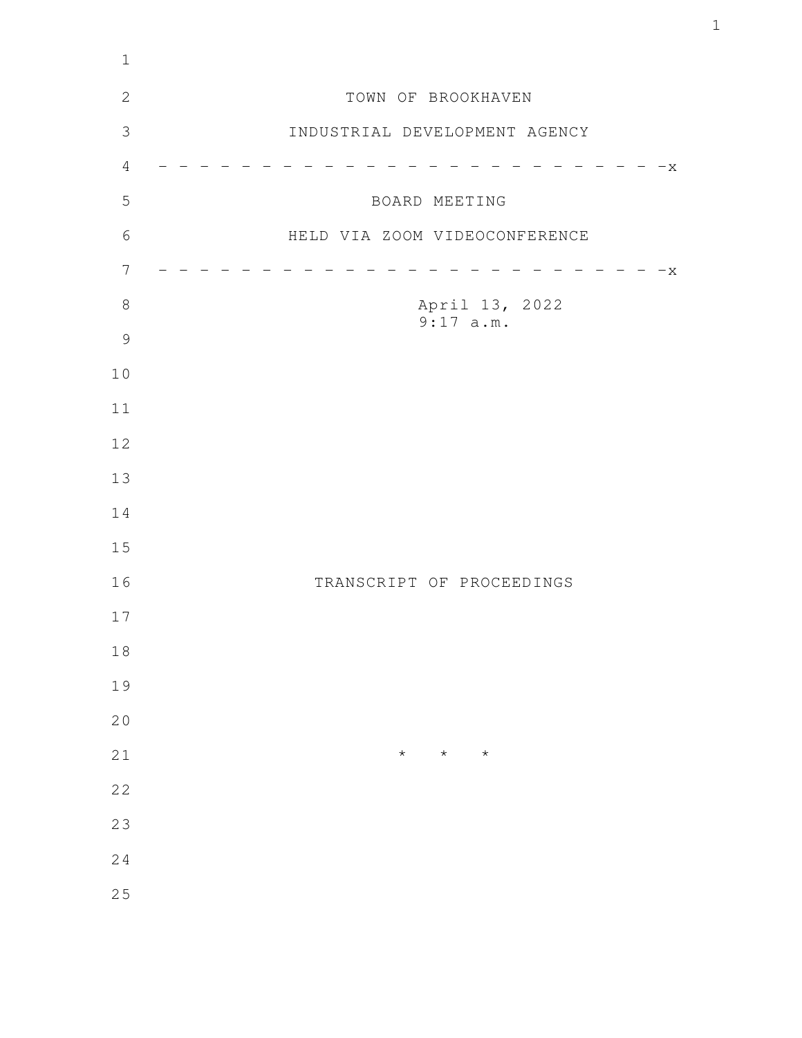| $\mathbf 1$    |                               |
|----------------|-------------------------------|
| $\mathbf{2}$   | TOWN OF BROOKHAVEN            |
| $\mathfrak{Z}$ | INDUSTRIAL DEVELOPMENT AGENCY |
| $\sqrt{4}$     | $-x$                          |
| 5              | BOARD MEETING                 |
| $6\,$          | HELD VIA ZOOM VIDEOCONFERENCE |
| $\overline{7}$ | $-x$                          |
| $\,8\,$        | April 13, 2022<br>9:17 a.m.   |
| $\mathcal{G}$  |                               |
| 10             |                               |
| 11             |                               |
| 12             |                               |
| 13             |                               |
| 14             |                               |
| 15             |                               |
| 16             | TRANSCRIPT OF PROCEEDINGS     |
| 17             |                               |
| $1\,8$         |                               |
| 19             |                               |
| 20             |                               |
| 21             | $\star$<br>$\star$<br>$\star$ |
| 22             |                               |
| 23             |                               |
| 24             |                               |
| 25             |                               |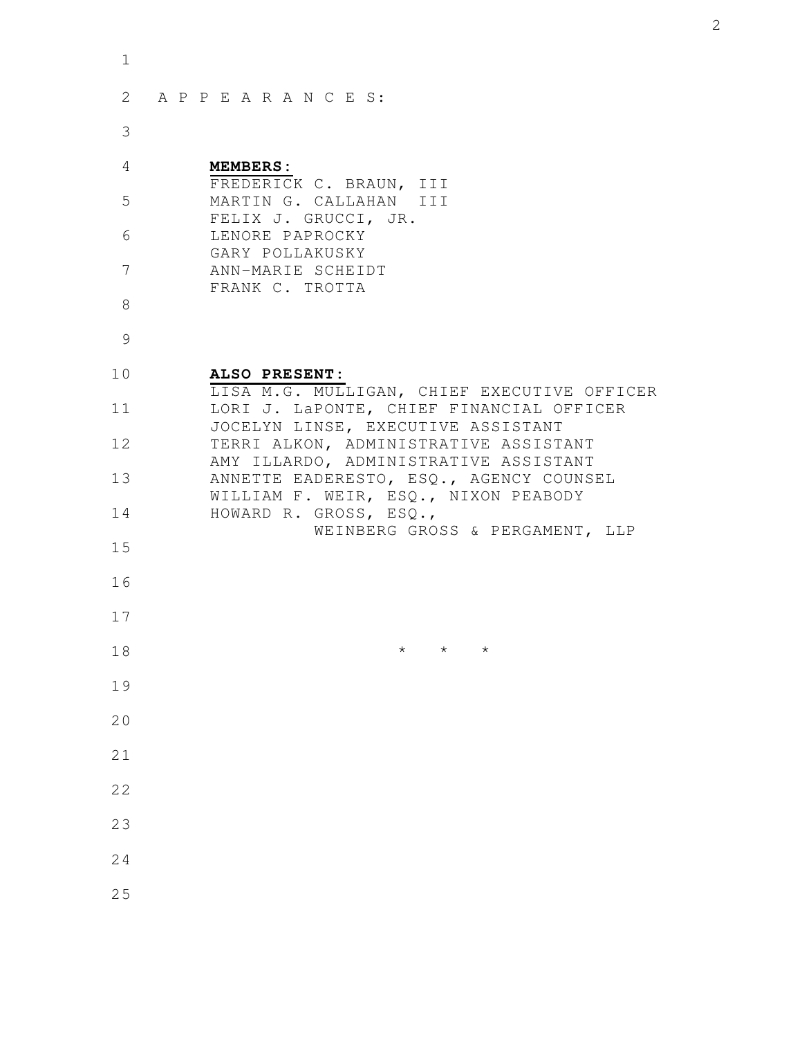| 1        |                                                                                 |
|----------|---------------------------------------------------------------------------------|
| 2        | APPEARANCES:                                                                    |
| 3        |                                                                                 |
| 4        | <b>MEMBERS:</b><br>FREDERICK C. BRAUN, III                                      |
| 5        | MARTIN G. CALLAHAN III<br>FELIX J. GRUCCI, JR.                                  |
| 6        | LENORE PAPROCKY<br>GARY POLLAKUSKY                                              |
| 7        | ANN-MARIE SCHEIDT<br>FRANK C. TROTTA                                            |
| 8        |                                                                                 |
| 9        |                                                                                 |
| 10       | ALSO PRESENT:<br>LISA M.G. MULLIGAN, CHIEF EXECUTIVE OFFICER                    |
| 11       | LORI J. LaPONTE, CHIEF FINANCIAL OFFICER<br>JOCELYN LINSE, EXECUTIVE ASSISTANT  |
| 12       | TERRI ALKON, ADMINISTRATIVE ASSISTANT<br>AMY ILLARDO, ADMINISTRATIVE ASSISTANT  |
| 13       | ANNETTE EADERESTO, ESQ., AGENCY COUNSEL<br>WILLIAM F. WEIR, ESQ., NIXON PEABODY |
| 14       | HOWARD R. GROSS, ESQ.,<br>WEINBERG GROSS & PERGAMENT, LLP                       |
| 15       |                                                                                 |
| 16<br>17 |                                                                                 |
| 18       | $^\star$<br>$^\star$<br>$\star$                                                 |
| 19       |                                                                                 |
| 20       |                                                                                 |
| 21       |                                                                                 |
| 22       |                                                                                 |
| 23       |                                                                                 |
| 24       |                                                                                 |
| 25       |                                                                                 |
|          |                                                                                 |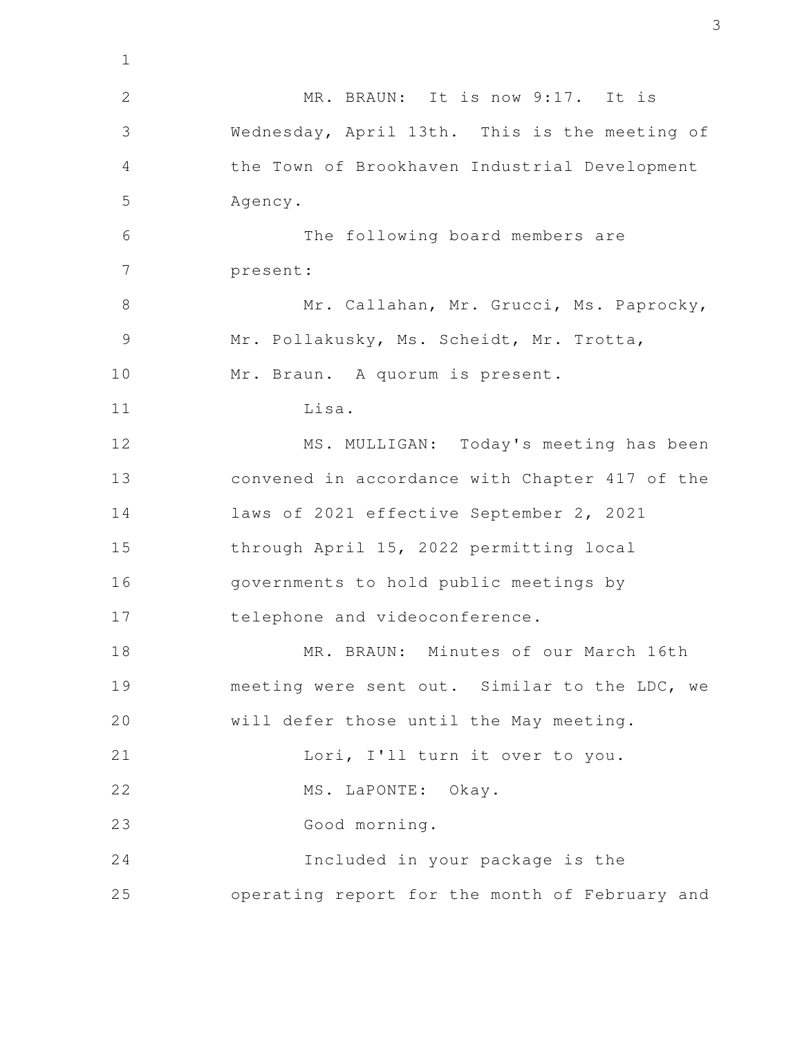MR. BRAUN: It is now 9:17. It is Wednesday, April 13th. This is the meeting of the Town of Brookhaven Industrial Development Agency. The following board members are present: Mr. Callahan, Mr. Grucci, Ms. Paprocky, Mr. Pollakusky, Ms. Scheidt, Mr. Trotta, Mr. Braun. A quorum is present. Lisa. MS. MULLIGAN: Today's meeting has been convened in accordance with Chapter 417 of the laws of 2021 effective September 2, 2021 through April 15, 2022 permitting local governments to hold public meetings by telephone and videoconference. MR. BRAUN: Minutes of our March 16th meeting were sent out. Similar to the LDC, we will defer those until the May meeting. Lori, I'll turn it over to you. MS. LaPONTE: Okay. Good morning. Included in your package is the operating report for the month of February and 1 2 3 4 5 6 7 8 9 10 11 12 13 14 15 16 17 18 19 20 21 22 23 24 25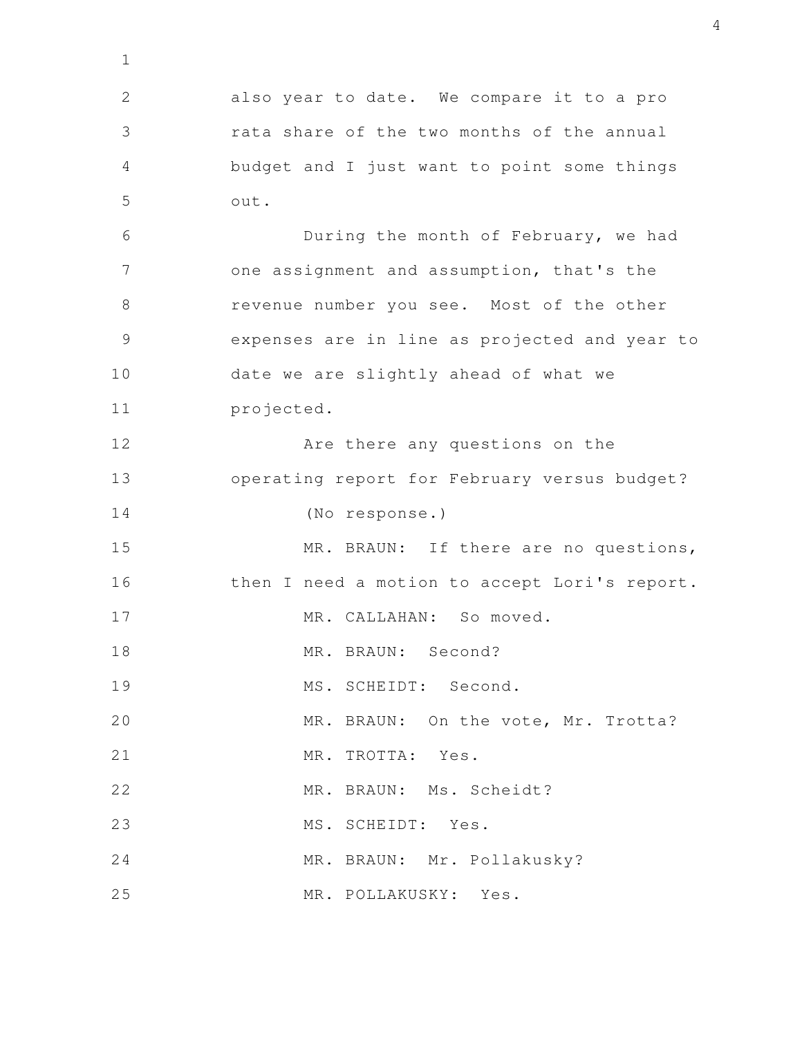also year to date. We compare it to a pro rata share of the two months of the annual budget and I just want to point some things out. During the month of February, we had one assignment and assumption, that's the revenue number you see. Most of the other expenses are in line as projected and year to date we are slightly ahead of what we projected. Are there any questions on the operating report for February versus budget? (No response.) MR. BRAUN: If there are no questions, then I need a motion to accept Lori's report. MR. CALLAHAN: So moved. MR. BRAUN: Second? MS. SCHEIDT: Second. MR. BRAUN: On the vote, Mr. Trotta? MR. TROTTA: Yes. MR. BRAUN: Ms. Scheidt? MS. SCHEIDT: Yes. MR. BRAUN: Mr. Pollakusky? MR. POLLAKUSKY: Yes. 1 2 3 4 5 6 7 8 9 10 11 12 13 14 15 16 17 18 19 20 21 22 23 24 25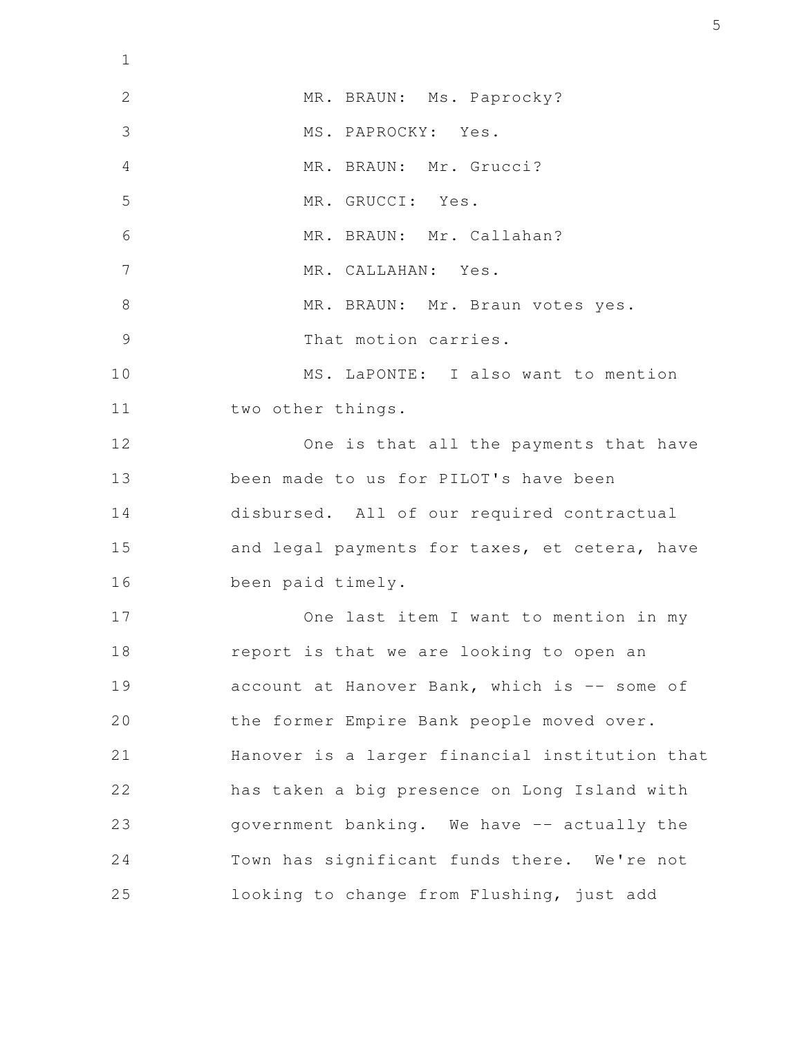MR. BRAUN: Ms. Paprocky? MS. PAPROCKY: Yes. MR. BRAUN: Mr. Grucci? MR. GRUCCI: Yes. MR. BRAUN: Mr. Callahan? MR. CALLAHAN: Yes. MR. BRAUN: Mr. Braun votes yes. That motion carries. MS. LaPONTE: I also want to mention two other things. One is that all the payments that have been made to us for PILOT's have been disbursed. All of our required contractual and legal payments for taxes, et cetera, have been paid timely. One last item I want to mention in my report is that we are looking to open an account at Hanover Bank, which is -- some of the former Empire Bank people moved over. Hanover is a larger financial institution that has taken a big presence on Long Island with government banking. We have -- actually the Town has significant funds there. We're not looking to change from Flushing, just add 1 2 3 4 5 6 7 8 9 10 11 12 13 14 15 16 17 18 19 20 21 22 23 24 25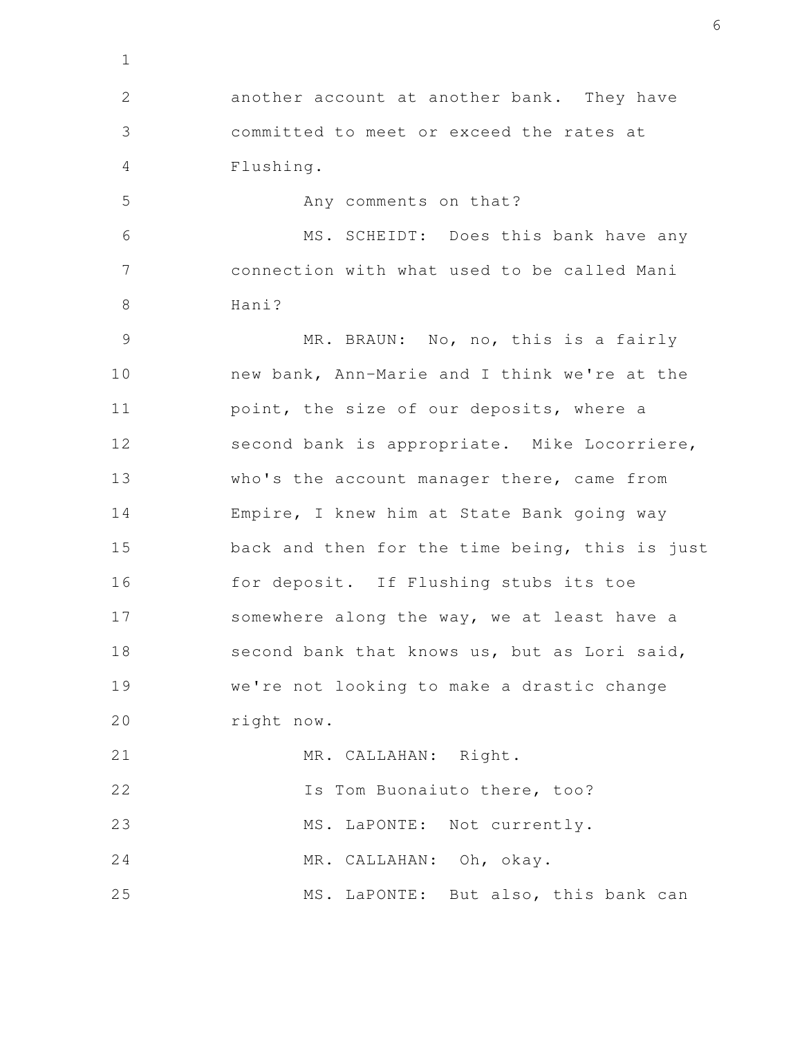another account at another bank. They have committed to meet or exceed the rates at Flushing. 2 3 4

Any comments on that? 5

1

MS. SCHEIDT: Does this bank have any connection with what used to be called Mani Hani? 6 7 8

MR. BRAUN: No, no, this is a fairly new bank, Ann-Marie and I think we're at the point, the size of our deposits, where a second bank is appropriate. Mike Locorriere, who's the account manager there, came from Empire, I knew him at State Bank going way back and then for the time being, this is just for deposit. If Flushing stubs its toe somewhere along the way, we at least have a second bank that knows us, but as Lori said, we're not looking to make a drastic change right now. 9 10 11 12 13 14 15 16 17 18 19 20

MR. CALLAHAN: Right. Is Tom Buonaiuto there, too? MS. LaPONTE: Not currently. MR. CALLAHAN: Oh, okay. MS. LaPONTE: But also, this bank can 21 22 23 24 25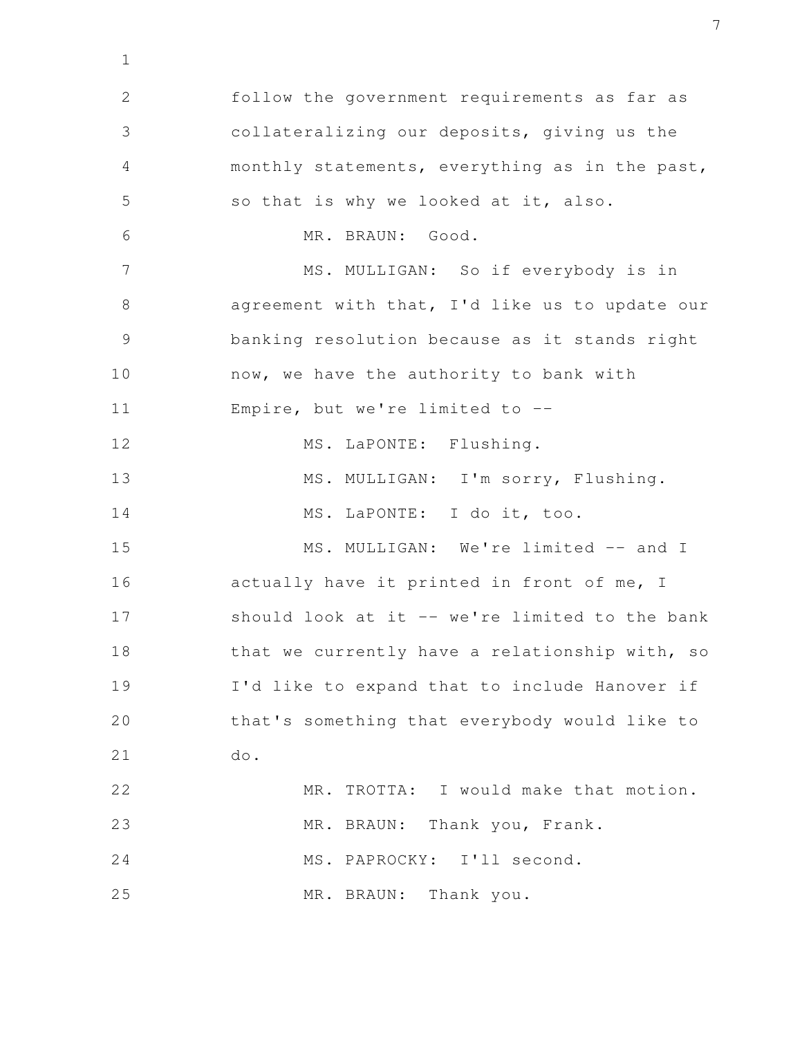follow the government requirements as far as collateralizing our deposits, giving us the monthly statements, everything as in the past, so that is why we looked at it, also. MR. BRAUN: Good. MS. MULLIGAN: So if everybody is in agreement with that, I'd like us to update our banking resolution because as it stands right now, we have the authority to bank with Empire, but we're limited to -- MS. LaPONTE: Flushing. MS. MULLIGAN: I'm sorry, Flushing. MS. LaPONTE: I do it, too. MS. MULLIGAN: We're limited -- and I actually have it printed in front of me, I should look at it -- we're limited to the bank that we currently have a relationship with, so I'd like to expand that to include Hanover if that's something that everybody would like to do. MR. TROTTA: I would make that motion. MR. BRAUN: Thank you, Frank. MS. PAPROCKY: I'll second. MR. BRAUN: Thank you. 2 3 4 5 6 7 8 9 10 11 12 13 14 15 16 17 18 19 20 21 22 23 24 25

1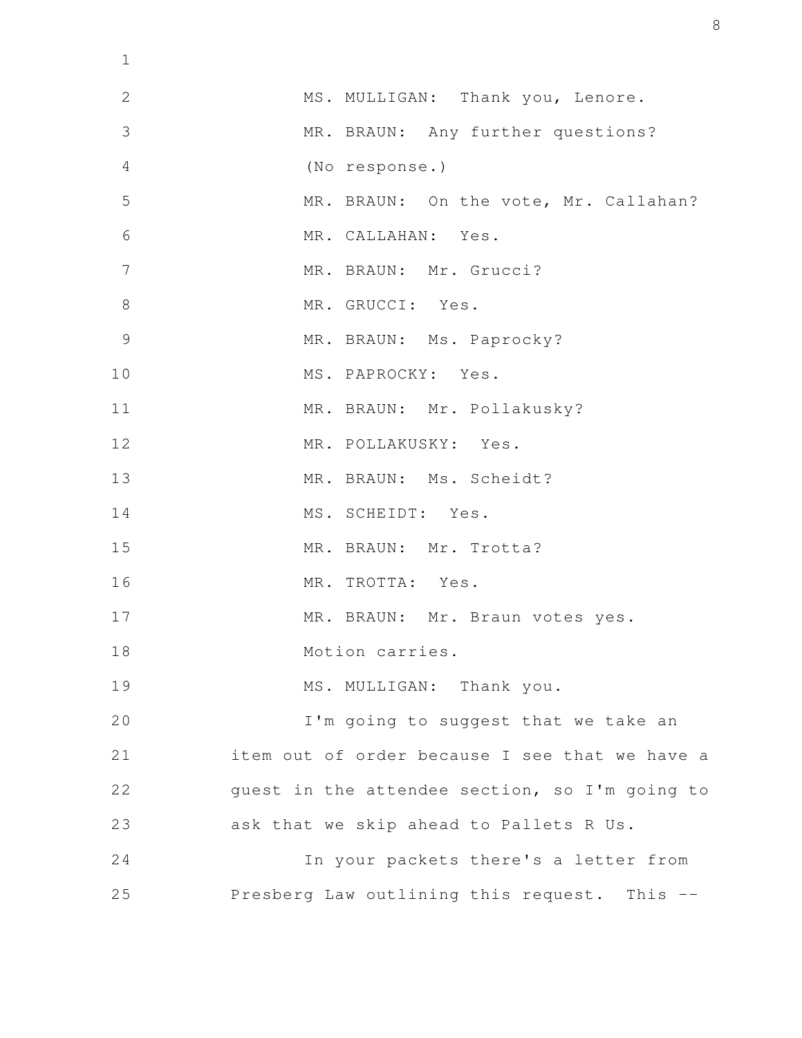| $\mathbf 1$    |                                                |
|----------------|------------------------------------------------|
| $\mathbf{2}$   | MS. MULLIGAN: Thank you, Lenore.               |
| 3              | MR. BRAUN: Any further questions?              |
| $\overline{4}$ | (No response.)                                 |
| 5              | MR. BRAUN: On the vote, Mr. Callahan?          |
| 6              | MR. CALLAHAN: Yes.                             |
| $\overline{7}$ | MR. BRAUN: Mr. Grucci?                         |
| $8\,$          | MR. GRUCCI: Yes.                               |
| $\mathcal{G}$  | MR. BRAUN: Ms. Paprocky?                       |
| 10             | MS. PAPROCKY: Yes.                             |
| 11             | MR. BRAUN: Mr. Pollakusky?                     |
| 12             | MR. POLLAKUSKY: Yes.                           |
| 13             | MR. BRAUN: Ms. Scheidt?                        |
| 14             | MS. SCHEIDT: Yes.                              |
| 15             | MR. BRAUN: Mr. Trotta?                         |
| 16             | MR. TROTTA: Yes.                               |
| 17             | MR. BRAUN: Mr. Braun votes yes.                |
| 18             | Motion carries.                                |
| 19             | MS. MULLIGAN: Thank you.                       |
| 20             | I'm going to suggest that we take an           |
| 21             | item out of order because I see that we have a |
| 22             | guest in the attendee section, so I'm going to |
| 23             | ask that we skip ahead to Pallets R Us.        |
| 24             | In your packets there's a letter from          |
| 25             | Presberg Law outlining this request. This --   |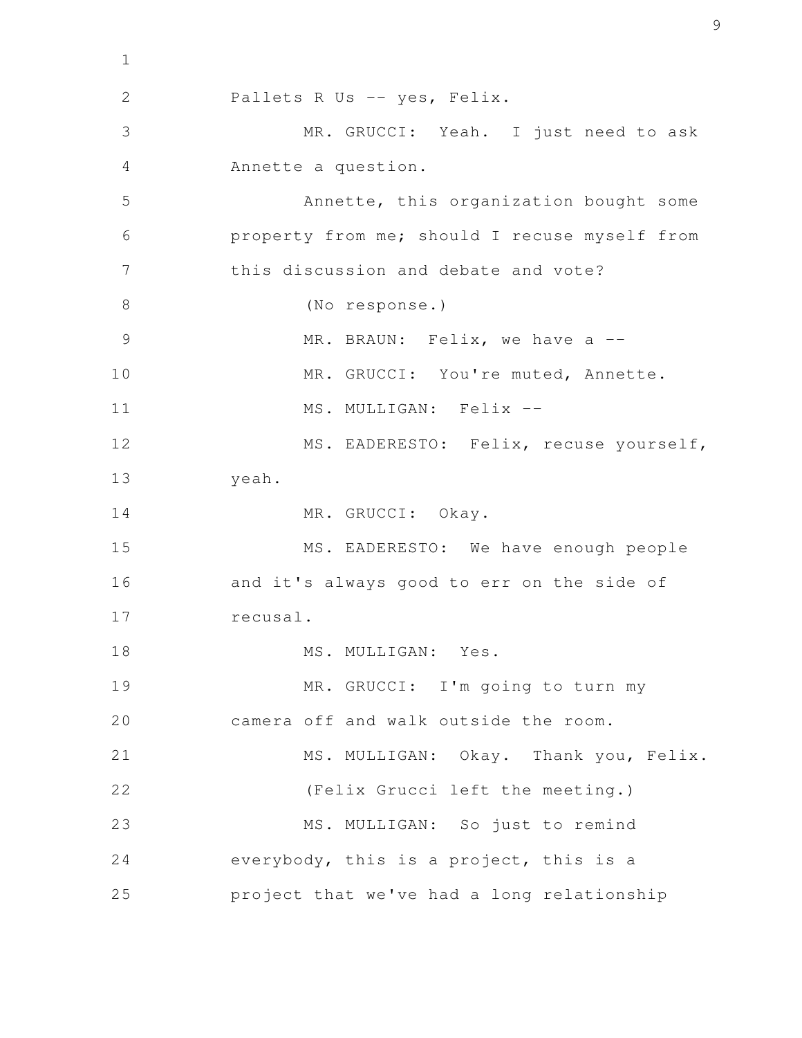Pallets R Us -- yes, Felix. MR. GRUCCI: Yeah. I just need to ask Annette a question. Annette, this organization bought some property from me; should I recuse myself from this discussion and debate and vote? (No response.) MR. BRAUN: Felix, we have a --MR. GRUCCI: You're muted, Annette. MS. MULLIGAN: Felix --MS. EADERESTO: Felix, recuse yourself, yeah. MR. GRUCCI: Okay. MS. EADERESTO: We have enough people and it's always good to err on the side of recusal. MS. MULLIGAN: Yes. MR. GRUCCI: I'm going to turn my camera off and walk outside the room. MS. MULLIGAN: Okay. Thank you, Felix. (Felix Grucci left the meeting.) MS. MULLIGAN: So just to remind everybody, this is a project, this is a project that we've had a long relationship 2 3 4 5 6 7 8 9 10 11 12 13 14 15 16 17 18 19 20 21 22 23 24 25

1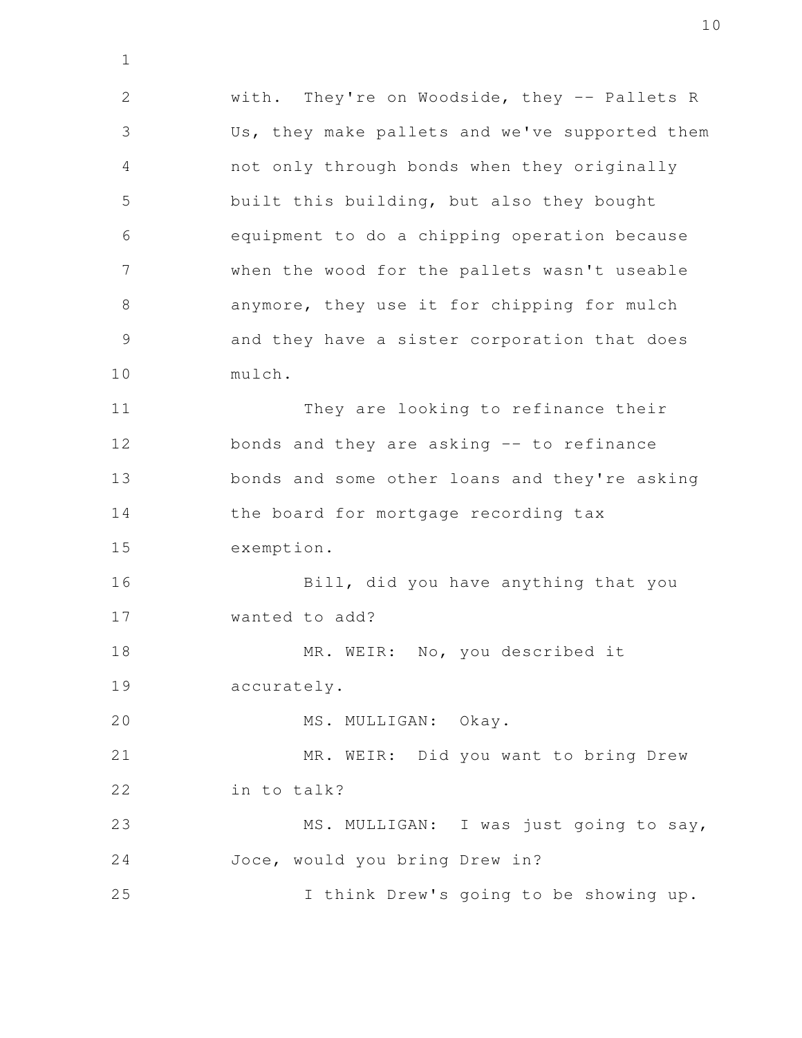with. They're on Woodside, they -- Pallets R Us, they make pallets and we've supported them not only through bonds when they originally built this building, but also they bought equipment to do a chipping operation because when the wood for the pallets wasn't useable anymore, they use it for chipping for mulch and they have a sister corporation that does mulch. They are looking to refinance their bonds and they are asking -- to refinance bonds and some other loans and they're asking the board for mortgage recording tax exemption. 2 3 4 5 6 7 8 9 10 11 12 13 14 15

Bill, did you have anything that you wanted to add? 16 17

MR. WEIR: No, you described it accurately. 18 19

MS. MULLIGAN: Okay. 20

1

MR. WEIR: Did you want to bring Drew in to talk? 21 22

MS. MULLIGAN: I was just going to say, Joce, would you bring Drew in? 23 24

I think Drew's going to be showing up. 25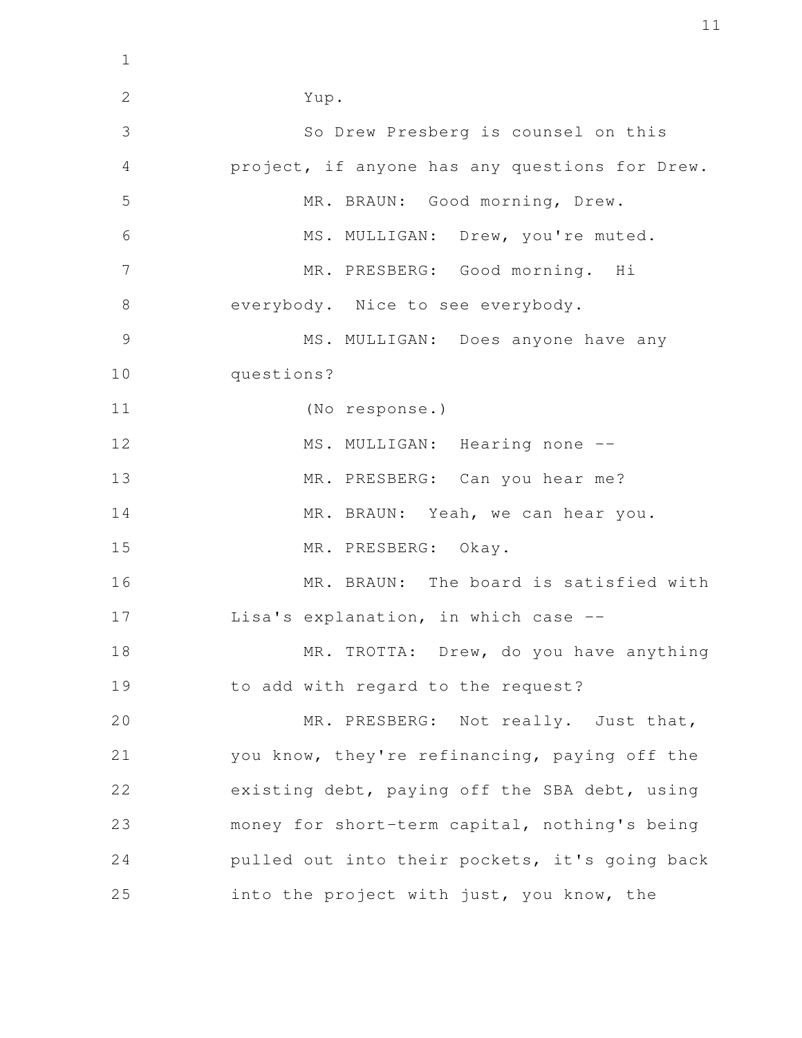Yup. So Drew Presberg is counsel on this project, if anyone has any questions for Drew. MR. BRAUN: Good morning, Drew. MS. MULLIGAN: Drew, you're muted. MR. PRESBERG: Good morning. Hi everybody. Nice to see everybody. MS. MULLIGAN: Does anyone have any questions? (No response.) MS. MULLIGAN: Hearing none --MR. PRESBERG: Can you hear me? MR. BRAUN: Yeah, we can hear you. MR. PRESBERG: Okay. MR. BRAUN: The board is satisfied with Lisa's explanation, in which case -- MR. TROTTA: Drew, do you have anything to add with regard to the request? MR. PRESBERG: Not really. Just that, you know, they're refinancing, paying off the existing debt, paying off the SBA debt, using money for short-term capital, nothing's being pulled out into their pockets, it's going back into the project with just, you know, the 2 3 4 5 6 7 8 9 10 11 12 13 14 15 16 17 18 19 20 21 22 23 24 25

1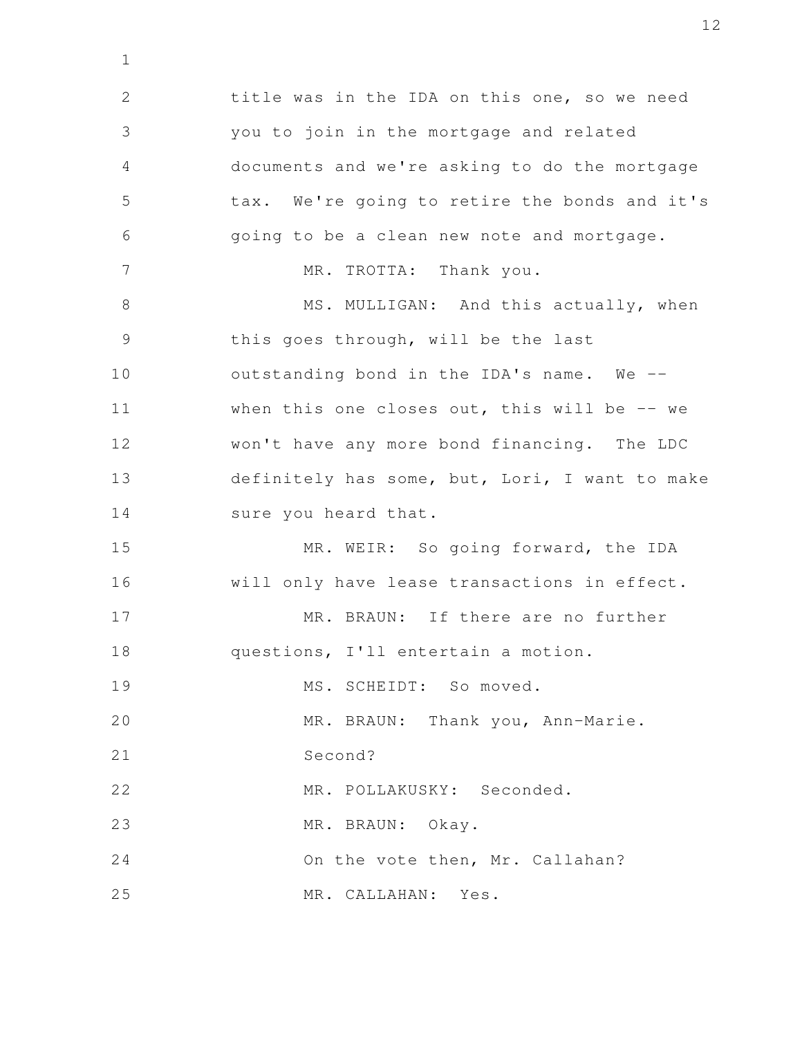title was in the IDA on this one, so we need you to join in the mortgage and related documents and we're asking to do the mortgage tax. We're going to retire the bonds and it's going to be a clean new note and mortgage. MR. TROTTA: Thank you. MS. MULLIGAN: And this actually, when this goes through, will be the last outstanding bond in the IDA's name. We - when this one closes out, this will be  $-$ - we won't have any more bond financing. The LDC definitely has some, but, Lori, I want to make sure you heard that. MR. WEIR: So going forward, the IDA will only have lease transactions in effect. MR. BRAUN: If there are no further questions, I'll entertain a motion. MS. SCHEIDT: So moved. MR. BRAUN: Thank you, Ann-Marie. Second? MR. POLLAKUSKY: Seconded. MR. BRAUN: Okay. On the vote then, Mr. Callahan? MR. CALLAHAN: Yes. 2 3 4 5 6 7 8 9 10 11 12 13 14 15 16 17 18 19 20 21 22 23 24 25

1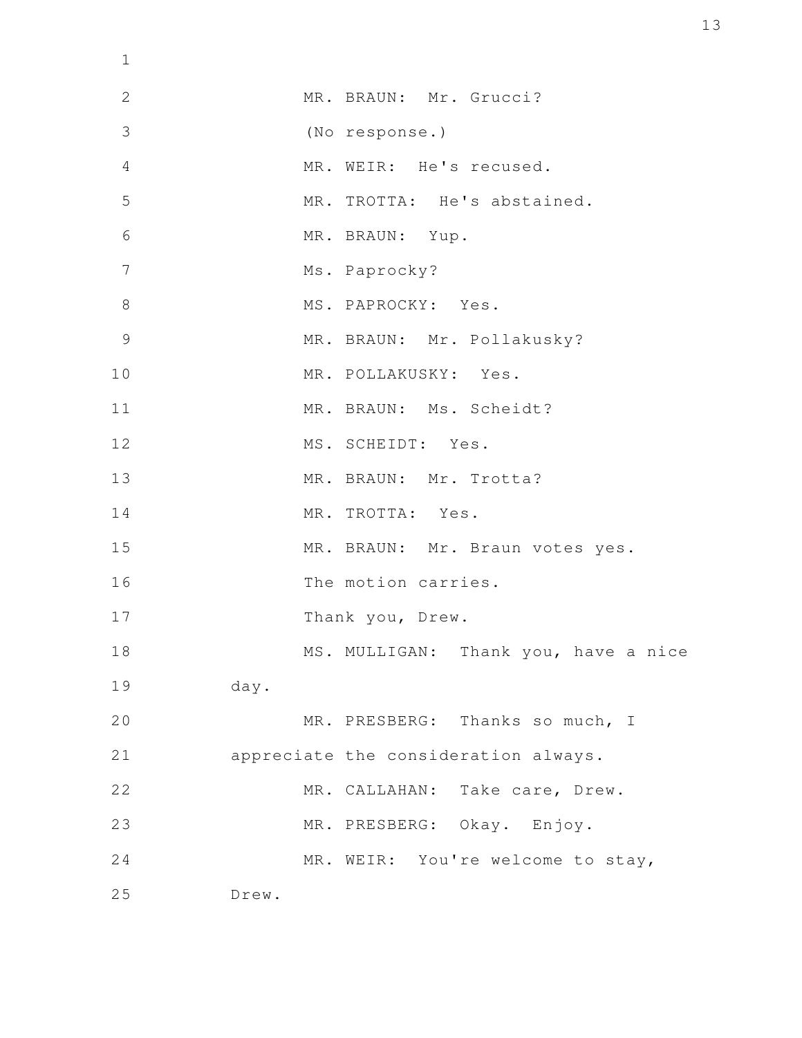| $\mathbf 1$    |                                      |
|----------------|--------------------------------------|
| $\overline{2}$ | MR. BRAUN: Mr. Grucci?               |
| 3              | (No response.)                       |
| 4              | MR. WEIR: He's recused.              |
| 5              | MR. TROTTA: He's abstained.          |
| 6              | MR. BRAUN: Yup.                      |
| 7              | Ms. Paprocky?                        |
| 8              | MS. PAPROCKY: Yes.                   |
| 9              | MR. BRAUN: Mr. Pollakusky?           |
| 10             | MR. POLLAKUSKY: Yes.                 |
| 11             | MR. BRAUN: Ms. Scheidt?              |
| 12             | MS. SCHEIDT: Yes.                    |
| 13             | MR. BRAUN: Mr. Trotta?               |
| 14             | MR. TROTTA: Yes.                     |
| 15             | MR. BRAUN: Mr. Braun votes yes.      |
| 16             | The motion carries.                  |
| 17             | Thank you, Drew.                     |
| 18             | MS. MULLIGAN: Thank you, have a nice |
| 19             | day.                                 |
| 20             | MR. PRESBERG: Thanks so much, I      |
| 21             | appreciate the consideration always. |
| 22             | MR. CALLAHAN: Take care, Drew.       |
| 23             | MR. PRESBERG: Okay. Enjoy.           |
| 24             | MR. WEIR: You're welcome to stay,    |
| 25             | Drew.                                |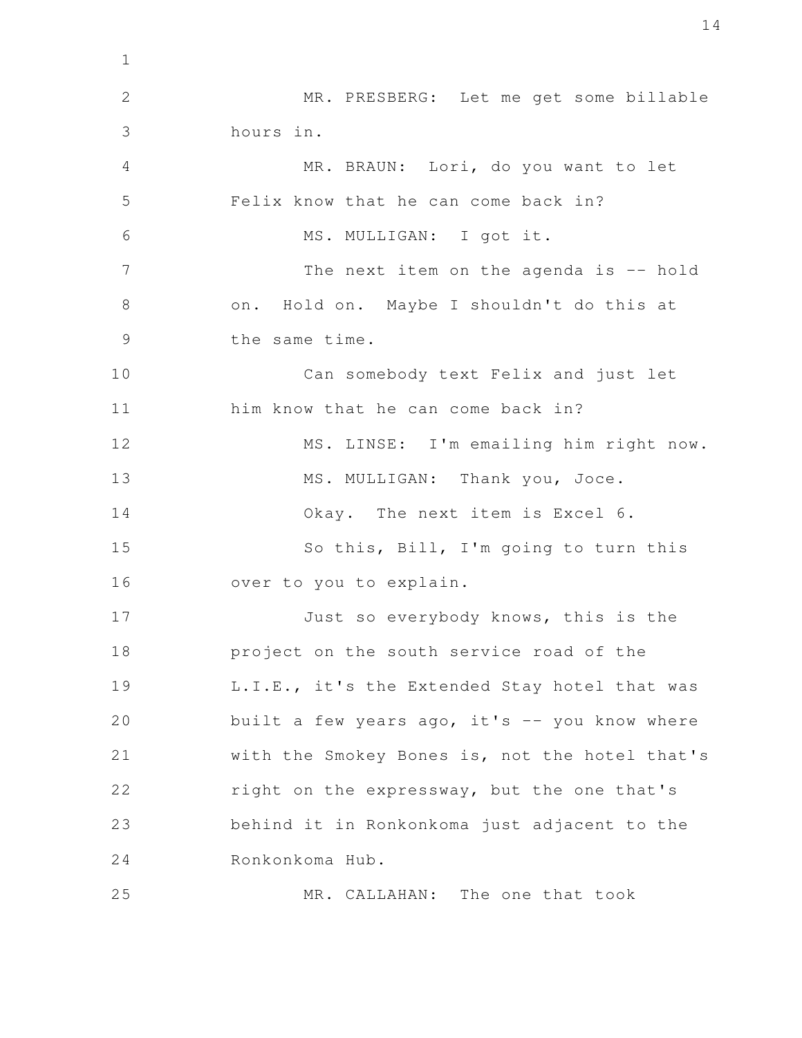MR. PRESBERG: Let me get some billable hours in. MR. BRAUN: Lori, do you want to let Felix know that he can come back in? MS. MULLIGAN: I got it. The next item on the agenda is -- hold on. Hold on. Maybe I shouldn't do this at the same time. Can somebody text Felix and just let him know that he can come back in? MS. LINSE: I'm emailing him right now. MS. MULLIGAN: Thank you, Joce. Okay. The next item is Excel 6. So this, Bill, I'm going to turn this over to you to explain. Just so everybody knows, this is the project on the south service road of the L.I.E., it's the Extended Stay hotel that was built a few years ago, it's  $-$  you know where with the Smokey Bones is, not the hotel that's right on the expressway, but the one that's behind it in Ronkonkoma just adjacent to the Ronkonkoma Hub. MR. CALLAHAN: The one that took 1 2 3 4 5 6 7 8 9 10 11 12 13 14 15 16 17 18 19 20 21 22 23 24 25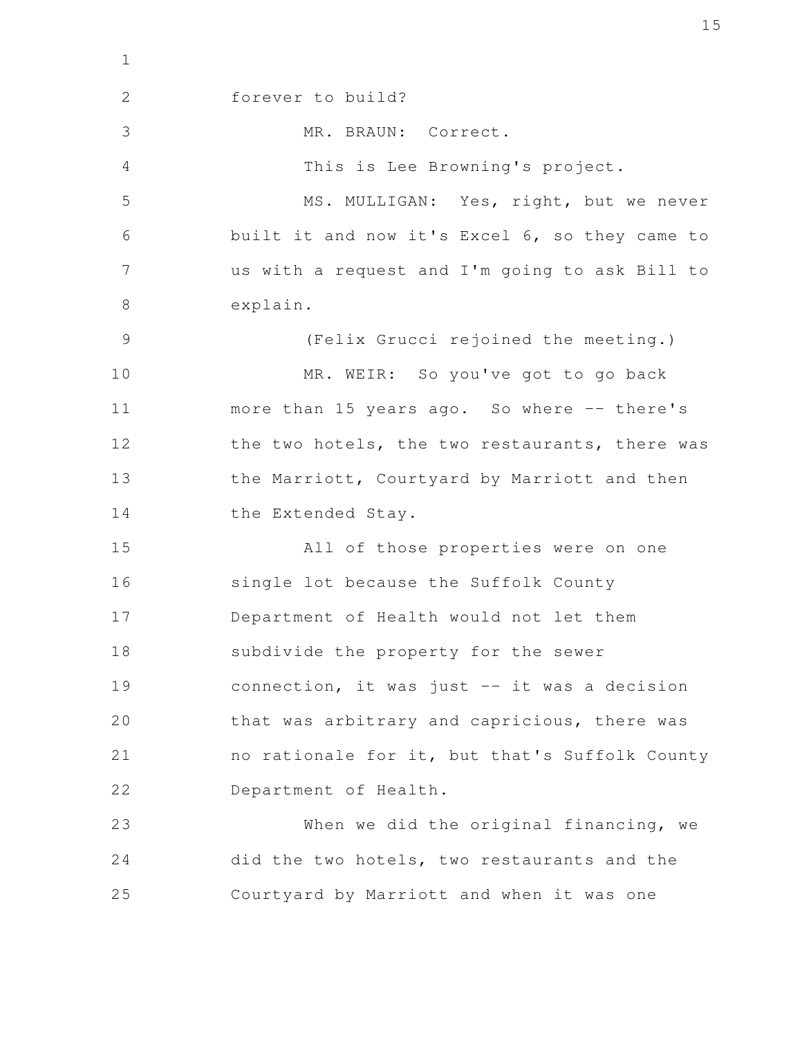forever to build? MR. BRAUN: Correct. This is Lee Browning's project. MS. MULLIGAN: Yes, right, but we never built it and now it's Excel 6, so they came to us with a request and I'm going to ask Bill to explain. (Felix Grucci rejoined the meeting.) MR. WEIR: So you've got to go back more than 15 years ago. So where -- there's the two hotels, the two restaurants, there was the Marriott, Courtyard by Marriott and then the Extended Stay. All of those properties were on one single lot because the Suffolk County Department of Health would not let them subdivide the property for the sewer connection, it was just -- it was a decision that was arbitrary and capricious, there was no rationale for it, but that's Suffolk County Department of Health. When we did the original financing, we did the two hotels, two restaurants and the Courtyard by Marriott and when it was one 2 3 4 5 6 7 8 9 10 11 12 13 14 15 16 17 18 19 20 21 22 23 24 25

1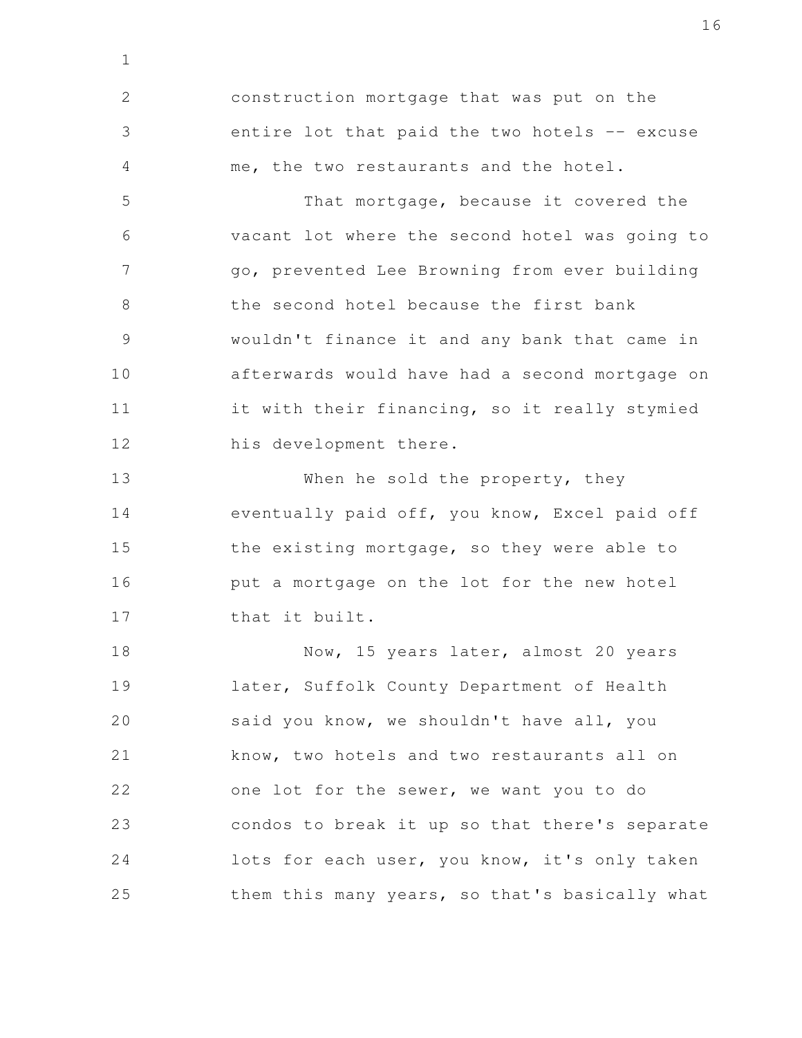construction mortgage that was put on the entire lot that paid the two hotels -- excuse me, the two restaurants and the hotel. 2 3 4

1

That mortgage, because it covered the vacant lot where the second hotel was going to go, prevented Lee Browning from ever building the second hotel because the first bank wouldn't finance it and any bank that came in afterwards would have had a second mortgage on it with their financing, so it really stymied his development there. 5 6 7 8 9 10 11 12

When he sold the property, they eventually paid off, you know, Excel paid off the existing mortgage, so they were able to put a mortgage on the lot for the new hotel that it built. 13 14 15 16 17

Now, 15 years later, almost 20 years later, Suffolk County Department of Health said you know, we shouldn't have all, you know, two hotels and two restaurants all on one lot for the sewer, we want you to do condos to break it up so that there's separate lots for each user, you know, it's only taken them this many years, so that's basically what 18 19 20 21 22 23 24 25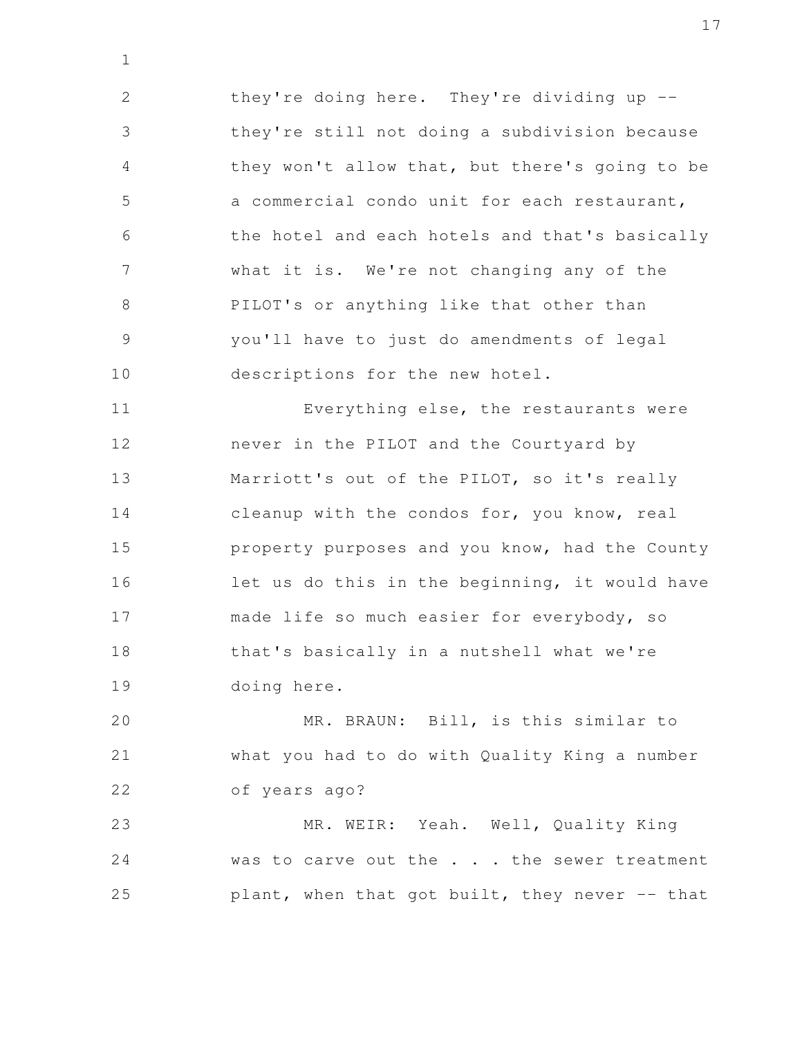they're doing here. They're dividing up - they're still not doing a subdivision because they won't allow that, but there's going to be a commercial condo unit for each restaurant, the hotel and each hotels and that's basically what it is. We're not changing any of the PILOT's or anything like that other than you'll have to just do amendments of legal descriptions for the new hotel. 2 3 4 5 6 7 8 9 10

1

Everything else, the restaurants were never in the PILOT and the Courtyard by Marriott's out of the PILOT, so it's really cleanup with the condos for, you know, real property purposes and you know, had the County let us do this in the beginning, it would have made life so much easier for everybody, so that's basically in a nutshell what we're doing here. 11 12 13 14 15 16 17 18 19

MR. BRAUN: Bill, is this similar to what you had to do with Quality King a number of years ago? 20 21 22

MR. WEIR: Yeah. Well, Quality King was to carve out the . . . the sewer treatment plant, when that got built, they never -- that 23 24 25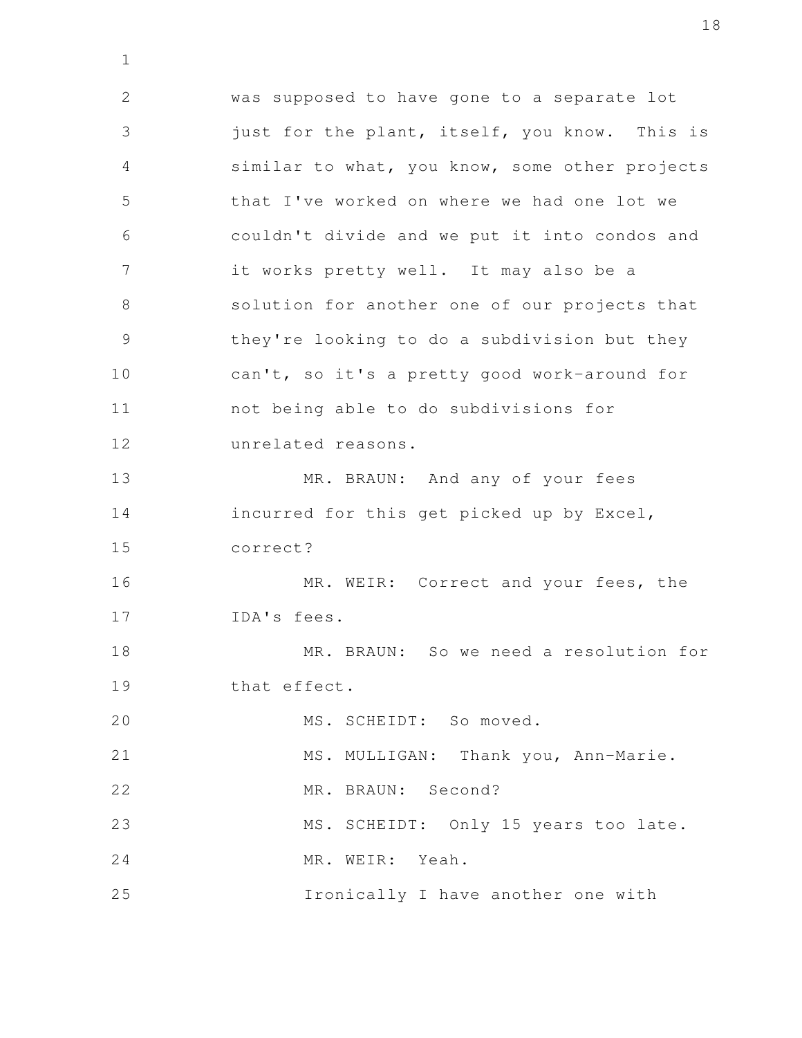was supposed to have gone to a separate lot just for the plant, itself, you know. This is similar to what, you know, some other projects that I've worked on where we had one lot we couldn't divide and we put it into condos and it works pretty well. It may also be a solution for another one of our projects that they're looking to do a subdivision but they can't, so it's a pretty good work-around for not being able to do subdivisions for unrelated reasons. MR. BRAUN: And any of your fees incurred for this get picked up by Excel, correct? MR. WEIR: Correct and your fees, the IDA's fees. MR. BRAUN: So we need a resolution for that effect. MS. SCHEIDT: So moved. MS. MULLIGAN: Thank you, Ann-Marie. MR. BRAUN: Second? MS. SCHEIDT: Only 15 years too late. MR. WEIR: Yeah. Ironically I have another one with 2 3 4 5 6 7 8 9 10 11 12 13 14 15 16 17 18 19 20 21 22 23 24 25

1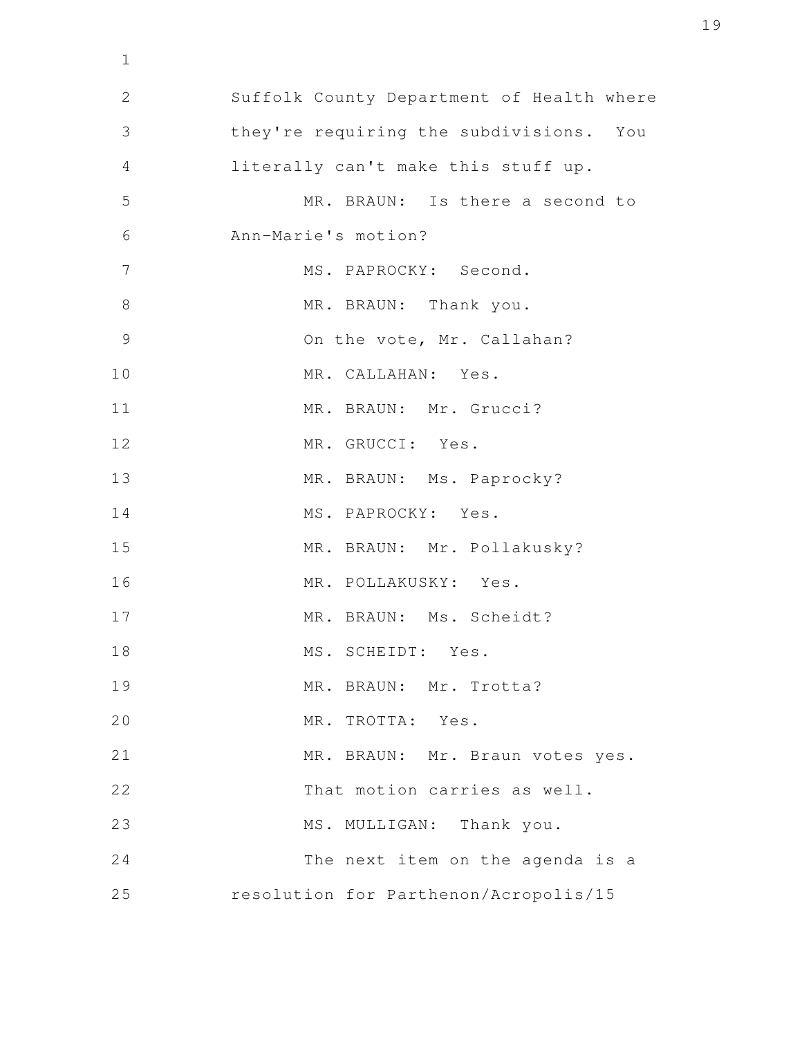Suffolk County Department of Health where they're requiring the subdivisions. You literally can't make this stuff up. MR. BRAUN: Is there a second to Ann-Marie's motion? MS. PAPROCKY: Second. MR. BRAUN: Thank you. On the vote, Mr. Callahan? MR. CALLAHAN: Yes. MR. BRAUN: Mr. Grucci? MR. GRUCCI: Yes. MR. BRAUN: Ms. Paprocky? MS. PAPROCKY: Yes. MR. BRAUN: Mr. Pollakusky? MR. POLLAKUSKY: Yes. MR. BRAUN: Ms. Scheidt? MS. SCHEIDT: Yes. MR. BRAUN: Mr. Trotta? MR. TROTTA: Yes. MR. BRAUN: Mr. Braun votes yes. That motion carries as well. MS. MULLIGAN: Thank you. The next item on the agenda is a resolution for Parthenon/Acropolis/15 1 2 3 4 5 6 7 8 9 10 11 12 13 14 15 16 17 18 19 20 21 22 23 24 25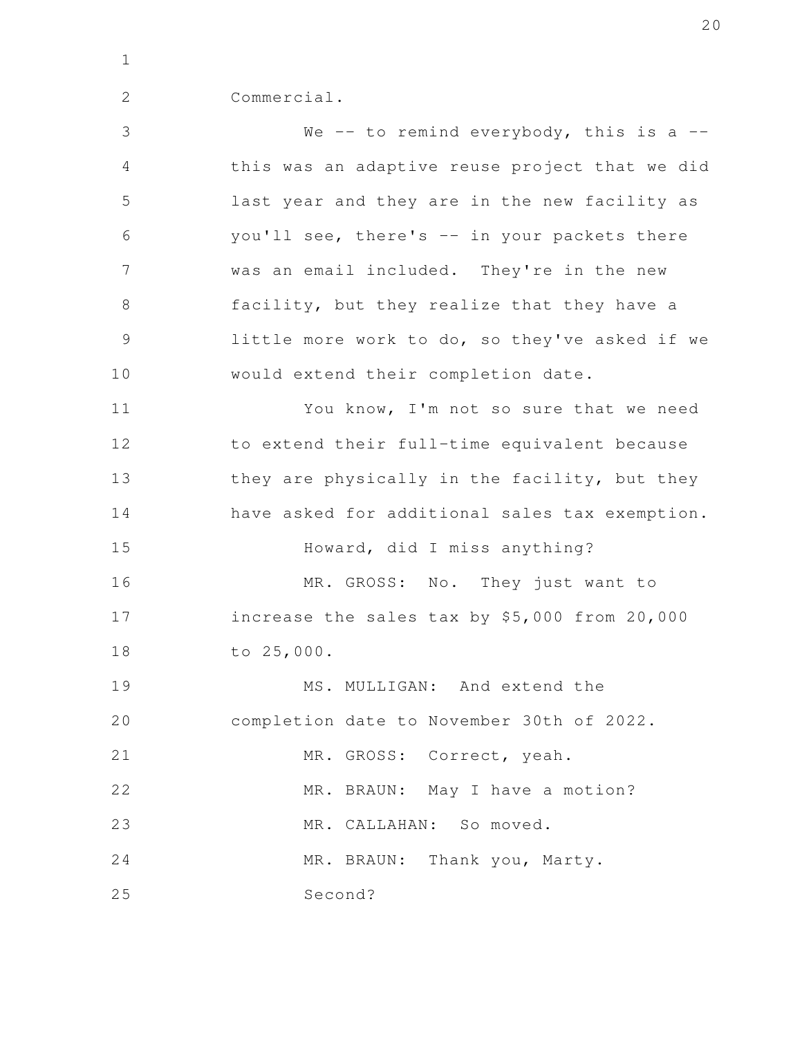2

| Commercial. |  |  |
|-------------|--|--|
|             |  |  |

We  $-$  to remind everybody, this is a  $$ this was an adaptive reuse project that we did last year and they are in the new facility as you'll see, there's -- in your packets there was an email included. They're in the new facility, but they realize that they have a little more work to do, so they've asked if we would extend their completion date. You know, I'm not so sure that we need to extend their full-time equivalent because they are physically in the facility, but they have asked for additional sales tax exemption. Howard, did I miss anything? MR. GROSS: No. They just want to increase the sales tax by \$5,000 from 20,000 to 25,000. MS. MULLIGAN: And extend the completion date to November 30th of 2022. MR. GROSS: Correct, yeah. MR. BRAUN: May I have a motion? MR. CALLAHAN: So moved. MR. BRAUN: Thank you, Marty. Second? 3 4 5 6 7 8 9 10 11 12 13 14 15 16 17 18 19 20 21 22 23 24 25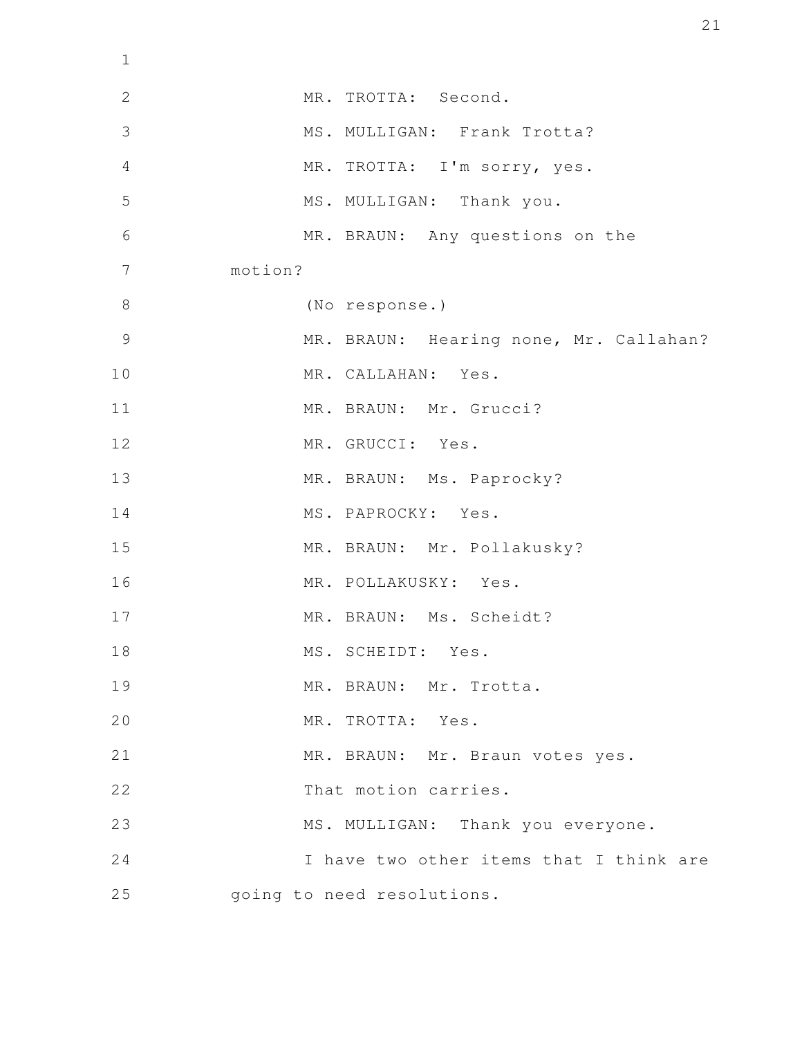| $\mathbf 1$    |                                         |
|----------------|-----------------------------------------|
| $\overline{2}$ | MR. TROTTA: Second.                     |
| 3              | MS. MULLIGAN: Frank Trotta?             |
| $\overline{4}$ | MR. TROTTA: I'm sorry, yes.             |
| 5              | MS. MULLIGAN: Thank you.                |
| 6              | MR. BRAUN: Any questions on the         |
| $\overline{7}$ | motion?                                 |
| $\,8\,$        | (No response.)                          |
| $\mathcal{G}$  | MR. BRAUN: Hearing none, Mr. Callahan?  |
| 10             | MR. CALLAHAN: Yes.                      |
| 11             | MR. BRAUN: Mr. Grucci?                  |
| 12             | MR. GRUCCI: Yes.                        |
| 13             | MR. BRAUN: Ms. Paprocky?                |
| 14             | MS. PAPROCKY: Yes.                      |
| 15             | MR. BRAUN: Mr. Pollakusky?              |
| 16             | MR. POLLAKUSKY: Yes.                    |
| 17             | MR. BRAUN: Ms. Scheidt?                 |
| 18             | MS. SCHEIDT: Yes.                       |
| 19             | MR. BRAUN: Mr. Trotta.                  |
| 20             | MR. TROTTA: Yes.                        |
| 21             | MR. BRAUN: Mr. Braun votes yes.         |
| 22             | That motion carries.                    |
| 23             | MS. MULLIGAN: Thank you everyone.       |
| 24             | I have two other items that I think are |
| 25             | going to need resolutions.              |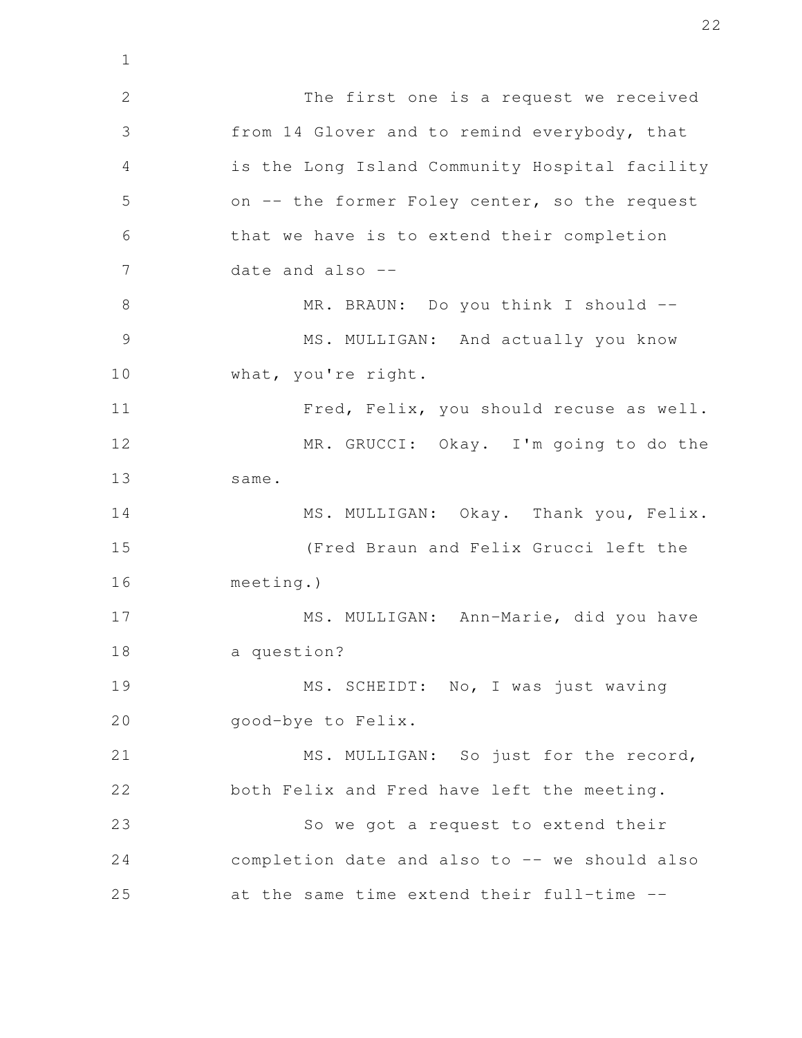The first one is a request we received from 14 Glover and to remind everybody, that is the Long Island Community Hospital facility on -- the former Foley center, so the request that we have is to extend their completion date and also -- MR. BRAUN: Do you think I should --MS. MULLIGAN: And actually you know what, you're right. Fred, Felix, you should recuse as well. MR. GRUCCI: Okay. I'm going to do the same. MS. MULLIGAN: Okay. Thank you, Felix. (Fred Braun and Felix Grucci left the meeting.) MS. MULLIGAN: Ann-Marie, did you have a question? MS. SCHEIDT: No, I was just waving good-bye to Felix. MS. MULLIGAN: So just for the record, both Felix and Fred have left the meeting. So we got a request to extend their completion date and also to -- we should also at the same time extend their full-time -- 2 3 4 5 6 7 8 9 10 11 12 13 14 15 16 17 18 19 20 21 22 23 24 25

1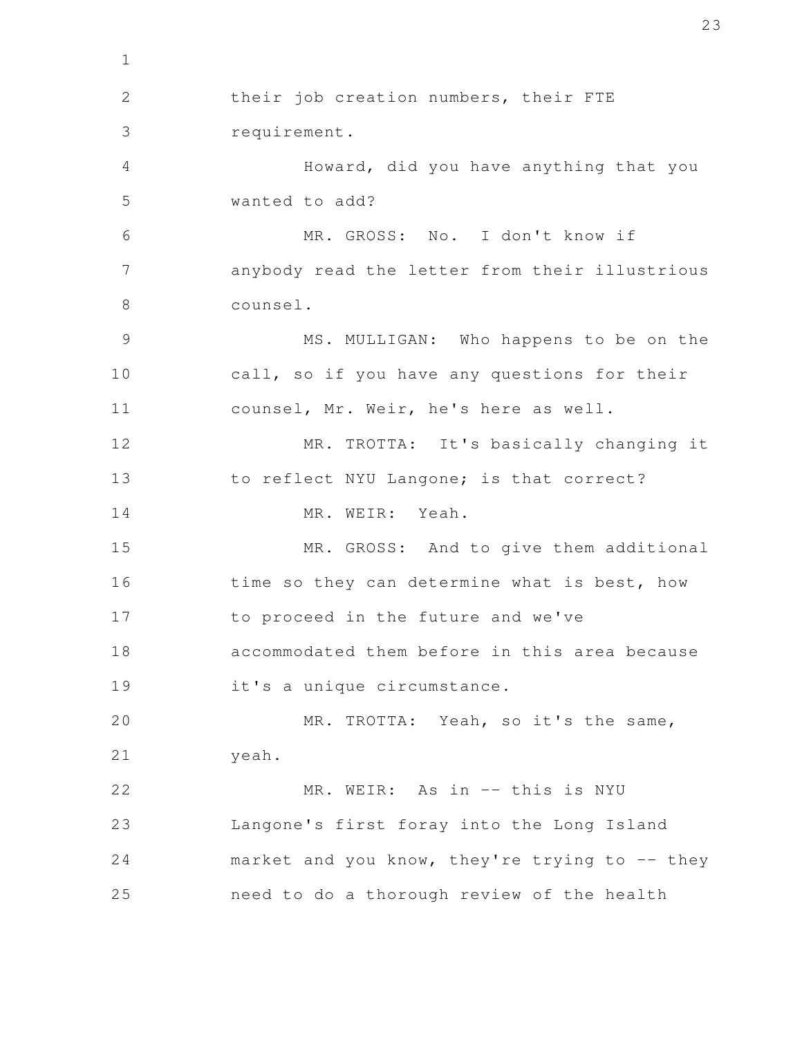their job creation numbers, their FTE requirement. Howard, did you have anything that you wanted to add? MR. GROSS: No. I don't know if anybody read the letter from their illustrious counsel. MS. MULLIGAN: Who happens to be on the call, so if you have any questions for their counsel, Mr. Weir, he's here as well. MR. TROTTA: It's basically changing it to reflect NYU Langone; is that correct? MR. WEIR: Yeah. MR. GROSS: And to give them additional time so they can determine what is best, how to proceed in the future and we've accommodated them before in this area because it's a unique circumstance. MR. TROTTA: Yeah, so it's the same, yeah. MR. WEIR: As in -- this is NYU Langone's first foray into the Long Island market and you know, they're trying to  $-$ - they need to do a thorough review of the health 1 2 3 4 5 6 7 8 9 10 11 12 13 14 15 16 17 18 19 20 21 22 23 24 25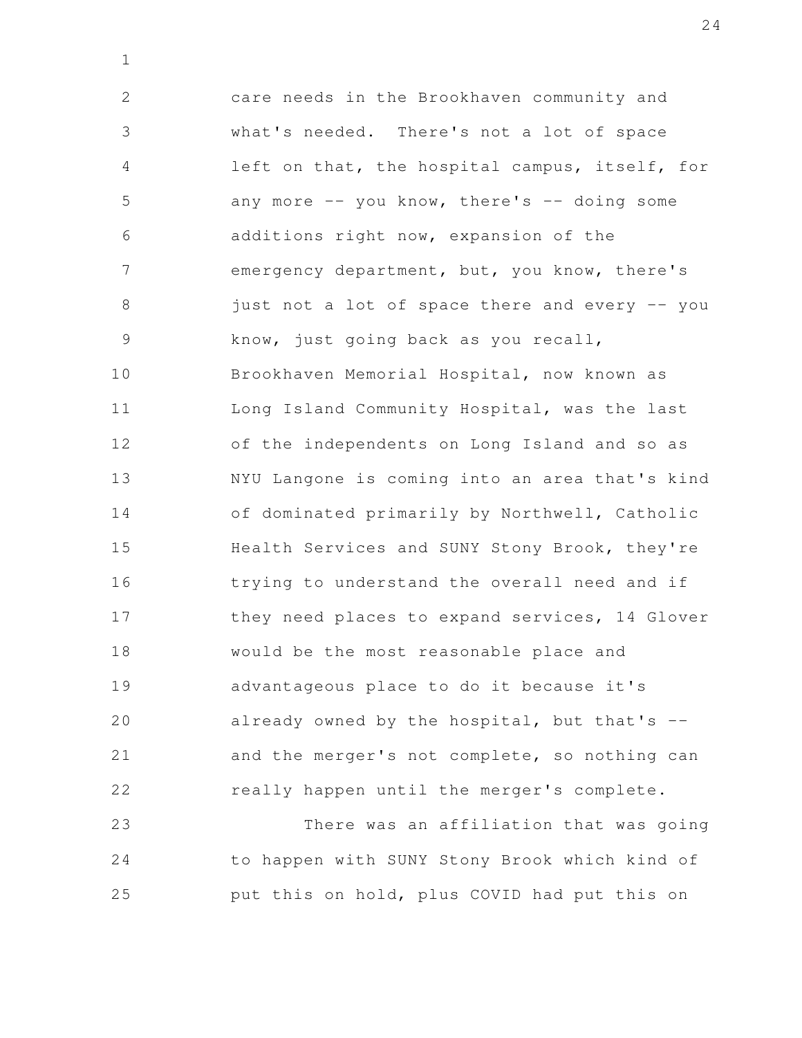care needs in the Brookhaven community and what's needed. There's not a lot of space left on that, the hospital campus, itself, for any more  $--$  you know, there's  $--$  doing some additions right now, expansion of the emergency department, but, you know, there's just not a lot of space there and every -- you know, just going back as you recall, Brookhaven Memorial Hospital, now known as Long Island Community Hospital, was the last of the independents on Long Island and so as NYU Langone is coming into an area that's kind of dominated primarily by Northwell, Catholic Health Services and SUNY Stony Brook, they're trying to understand the overall need and if they need places to expand services, 14 Glover would be the most reasonable place and advantageous place to do it because it's already owned by the hospital, but that's  $$ and the merger's not complete, so nothing can really happen until the merger's complete. 2 3 4 5 6 7 8 9 10 11 12 13 14 15 16 17 18 19 20 21 22

1

There was an affiliation that was going to happen with SUNY Stony Brook which kind of put this on hold, plus COVID had put this on 23 24 25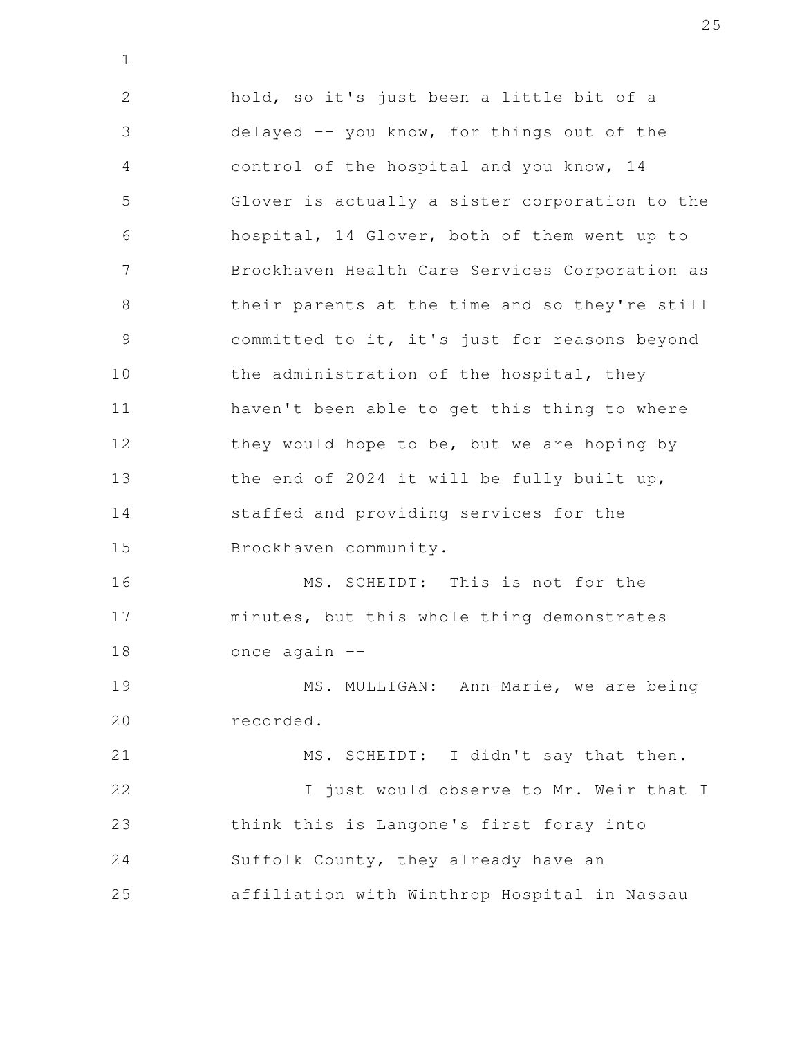hold, so it's just been a little bit of a delayed -- you know, for things out of the control of the hospital and you know, 14 Glover is actually a sister corporation to the hospital, 14 Glover, both of them went up to Brookhaven Health Care Services Corporation as their parents at the time and so they're still committed to it, it's just for reasons beyond the administration of the hospital, they haven't been able to get this thing to where they would hope to be, but we are hoping by the end of 2024 it will be fully built up, staffed and providing services for the Brookhaven community. MS. SCHEIDT: This is not for the minutes, but this whole thing demonstrates once again -- MS. MULLIGAN: Ann-Marie, we are being recorded. MS. SCHEIDT: I didn't say that then. I just would observe to Mr. Weir that I think this is Langone's first foray into Suffolk County, they already have an 2 3 4 5 6 7 8 9 10 11 12 13 14 15 16 17 18 19 20 21 22 23 24

1

affiliation with Winthrop Hospital in Nassau 25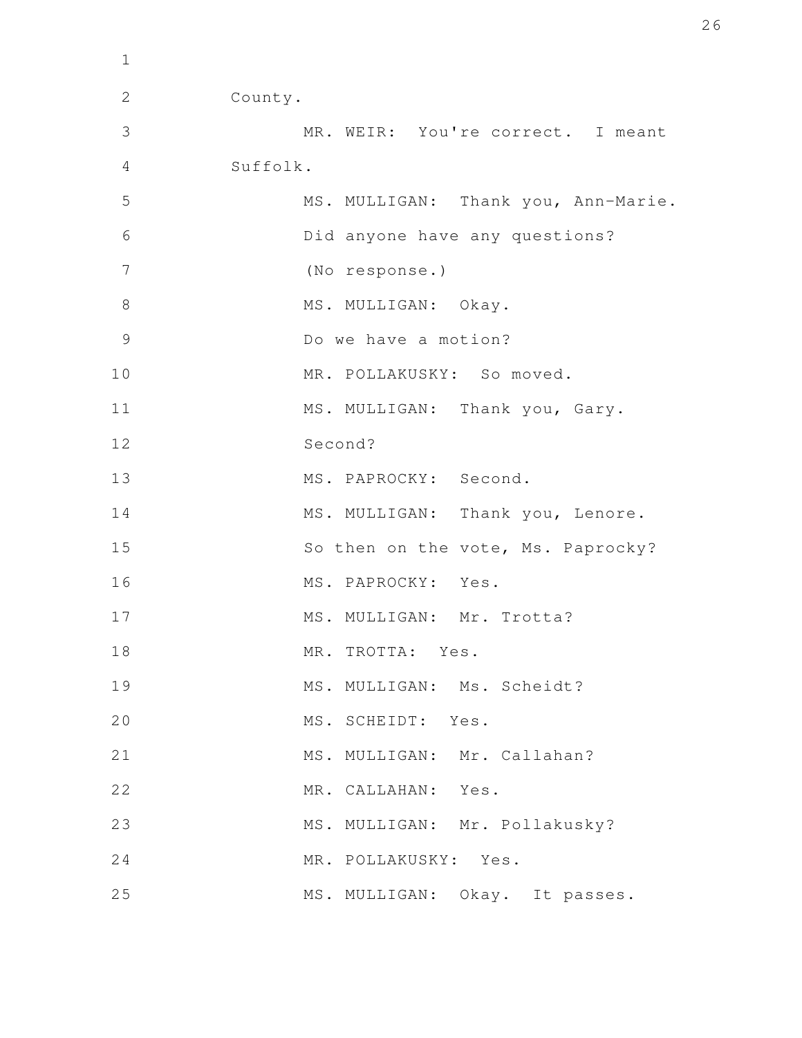| $\mathbf 1$   |                                     |
|---------------|-------------------------------------|
| $\mathbf{2}$  | County.                             |
| 3             | MR. WEIR: You're correct. I meant   |
| 4             | Suffolk.                            |
| 5             | MS. MULLIGAN: Thank you, Ann-Marie. |
| 6             | Did anyone have any questions?      |
| 7             | (No response.)                      |
| 8             | MS. MULLIGAN: Okay.                 |
| $\mathcal{G}$ | Do we have a motion?                |
| 10            | MR. POLLAKUSKY: So moved.           |
| 11            | MS. MULLIGAN: Thank you, Gary.      |
| 12            | Second?                             |
| 13            | MS. PAPROCKY: Second.               |
| 14            | MS. MULLIGAN: Thank you, Lenore.    |
| 15            | So then on the vote, Ms. Paprocky?  |
| 16            | MS. PAPROCKY: Yes.                  |
| 17            | MS. MULLIGAN: Mr. Trotta?           |
| 18            | MR. TROTTA: Yes.                    |
| 19            | MS. MULLIGAN: Ms. Scheidt?          |
| 20            | MS. SCHEIDT:<br>Yes.                |
| 21            | MS. MULLIGAN: Mr. Callahan?         |
| 22            | MR. CALLAHAN: Yes.                  |
| 23            | MS. MULLIGAN: Mr. Pollakusky?       |
| 24            | MR. POLLAKUSKY: Yes.                |
| 25            | MS. MULLIGAN: Okay. It passes.      |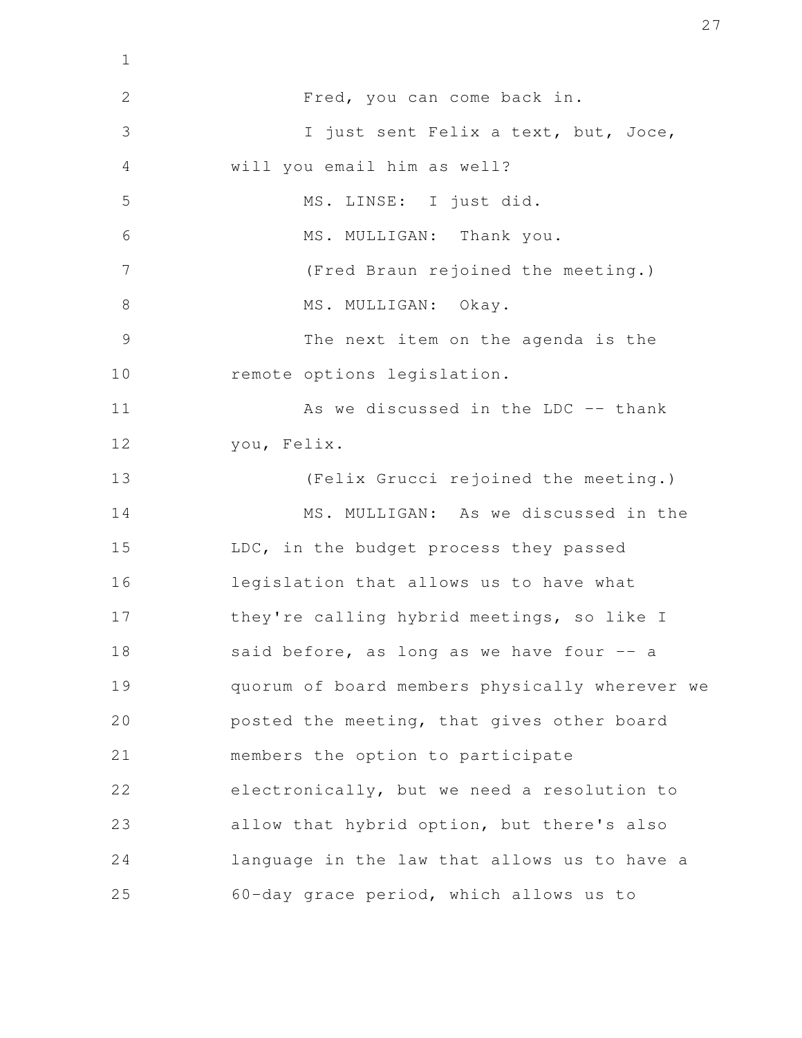| $\mathbf 1$    |                                                |
|----------------|------------------------------------------------|
| $\mathbf{2}$   | Fred, you can come back in.                    |
| 3              | I just sent Felix a text, but, Joce,           |
| 4              | will you email him as well?                    |
| 5              | MS. LINSE: I just did.                         |
| 6              | MS. MULLIGAN: Thank you.                       |
| 7              | (Fred Braun rejoined the meeting.)             |
| 8              | MS. MULLIGAN: Okay.                            |
| $\overline{9}$ | The next item on the agenda is the             |
| 10             | remote options legislation.                    |
| 11             | As we discussed in the LDC -- thank            |
| 12             | you, Felix.                                    |
| 13             | (Felix Grucci rejoined the meeting.)           |
| 14             | MS. MULLIGAN: As we discussed in the           |
| 15             | LDC, in the budget process they passed         |
| 16             | legislation that allows us to have what        |
| 17             | they're calling hybrid meetings, so like I     |
| 18             | said before, as long as we have four -- a      |
| 19             | quorum of board members physically wherever we |
| 20             | posted the meeting, that gives other board     |
| 21             | members the option to participate              |
| 22             | electronically, but we need a resolution to    |
| 23             | allow that hybrid option, but there's also     |
| 24             | language in the law that allows us to have a   |
| 25             | 60-day grace period, which allows us to        |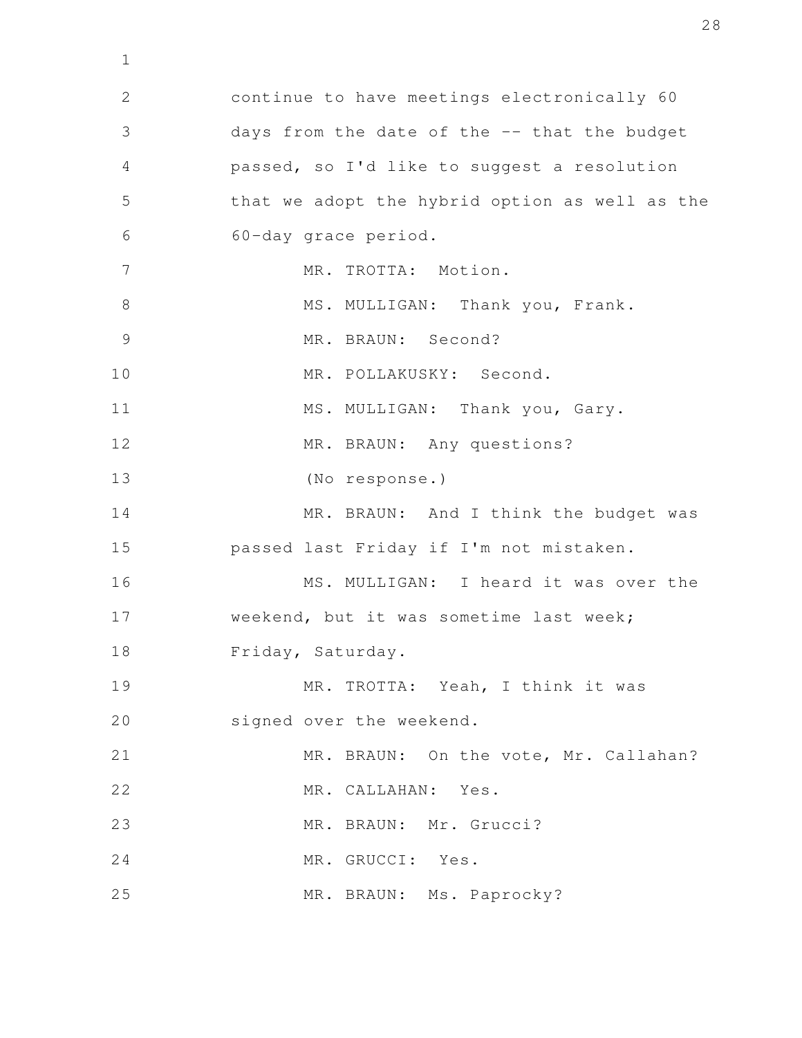continue to have meetings electronically 60 days from the date of the -- that the budget passed, so I'd like to suggest a resolution that we adopt the hybrid option as well as the 60-day grace period. MR. TROTTA: Motion. MS. MULLIGAN: Thank you, Frank. MR. BRAUN: Second? MR. POLLAKUSKY: Second. MS. MULLIGAN: Thank you, Gary. MR. BRAUN: Any questions? (No response.) MR. BRAUN: And I think the budget was passed last Friday if I'm not mistaken. MS. MULLIGAN: I heard it was over the weekend, but it was sometime last week; Friday, Saturday. MR. TROTTA: Yeah, I think it was signed over the weekend. MR. BRAUN: On the vote, Mr. Callahan? MR. CALLAHAN: Yes. MR. BRAUN: Mr. Grucci? MR. GRUCCI: Yes. MR. BRAUN: Ms. Paprocky? 2 3 4 5 6 7 8 9 10 11 12 13 14 15 16 17 18 19 20 21 22 23 24 25

1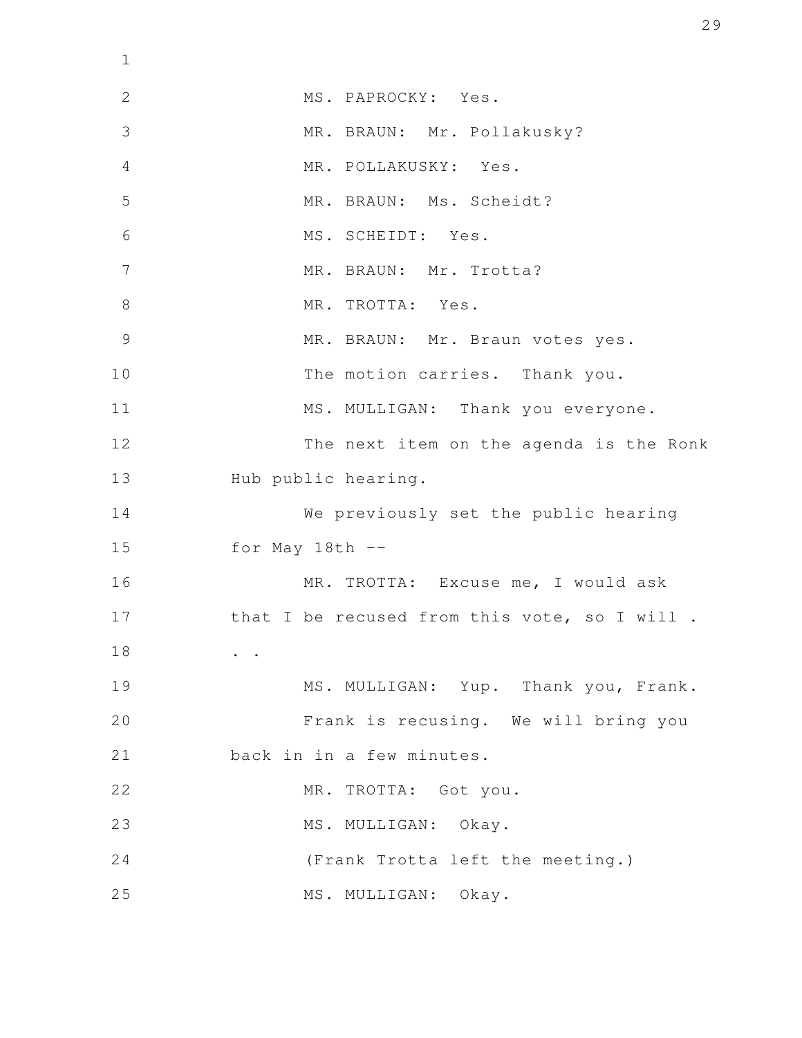| $\mathbf 1$     |                                              |
|-----------------|----------------------------------------------|
| $\mathbf{2}$    | MS. PAPROCKY: Yes.                           |
| 3               | MR. BRAUN: Mr. Pollakusky?                   |
| $\overline{4}$  | MR. POLLAKUSKY: Yes.                         |
| 5               | MR. BRAUN: Ms. Scheidt?                      |
| 6               | MS. SCHEIDT: Yes.                            |
| $7\phantom{.0}$ | MR. BRAUN: Mr. Trotta?                       |
| $8\,$           | MR. TROTTA: Yes.                             |
| 9               | MR. BRAUN: Mr. Braun votes yes.              |
| 10              | The motion carries. Thank you.               |
| 11              | MS. MULLIGAN: Thank you everyone.            |
| 12              | The next item on the agenda is the Ronk      |
| 13              | Hub public hearing.                          |
| 14              | We previously set the public hearing         |
| 15              | for May $18th$ --                            |
| 16              | MR. TROTTA: Excuse me, I would ask           |
| 17              | that I be recused from this vote, so I will. |
| 18              |                                              |
| 19              | MS. MULLIGAN: Yup. Thank you, Frank.         |
| 20              | Frank is recusing. We will bring you         |
| 21              | back in in a few minutes.                    |
| 22              | MR. TROTTA: Got you.                         |
| 23              | MS. MULLIGAN: Okay.                          |
| 24              | (Frank Trotta left the meeting.)             |
| 25              | MS. MULLIGAN:<br>Okay.                       |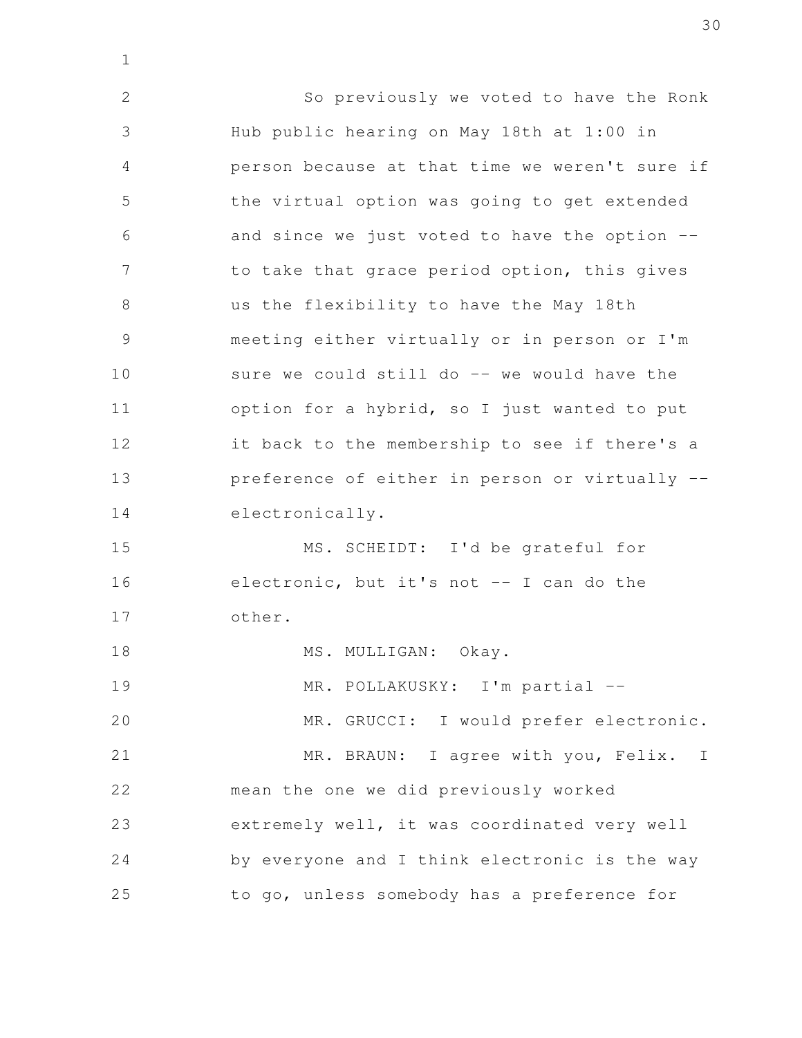So previously we voted to have the Ronk Hub public hearing on May 18th at 1:00 in person because at that time we weren't sure if the virtual option was going to get extended and since we just voted to have the option - to take that grace period option, this gives us the flexibility to have the May 18th meeting either virtually or in person or I'm sure we could still do -- we would have the option for a hybrid, so I just wanted to put it back to the membership to see if there's a preference of either in person or virtually - electronically. MS. SCHEIDT: I'd be grateful for electronic, but it's not -- I can do the other. MS. MULLIGAN: Okay. MR. POLLAKUSKY: I'm partial --MR. GRUCCI: I would prefer electronic. MR. BRAUN: I agree with you, Felix. I mean the one we did previously worked extremely well, it was coordinated very well by everyone and I think electronic is the way to go, unless somebody has a preference for 2 3 4 5 6 7 8 9 10 11 12 13 14 15 16 17 18 19 20 21 22 23 24 25

1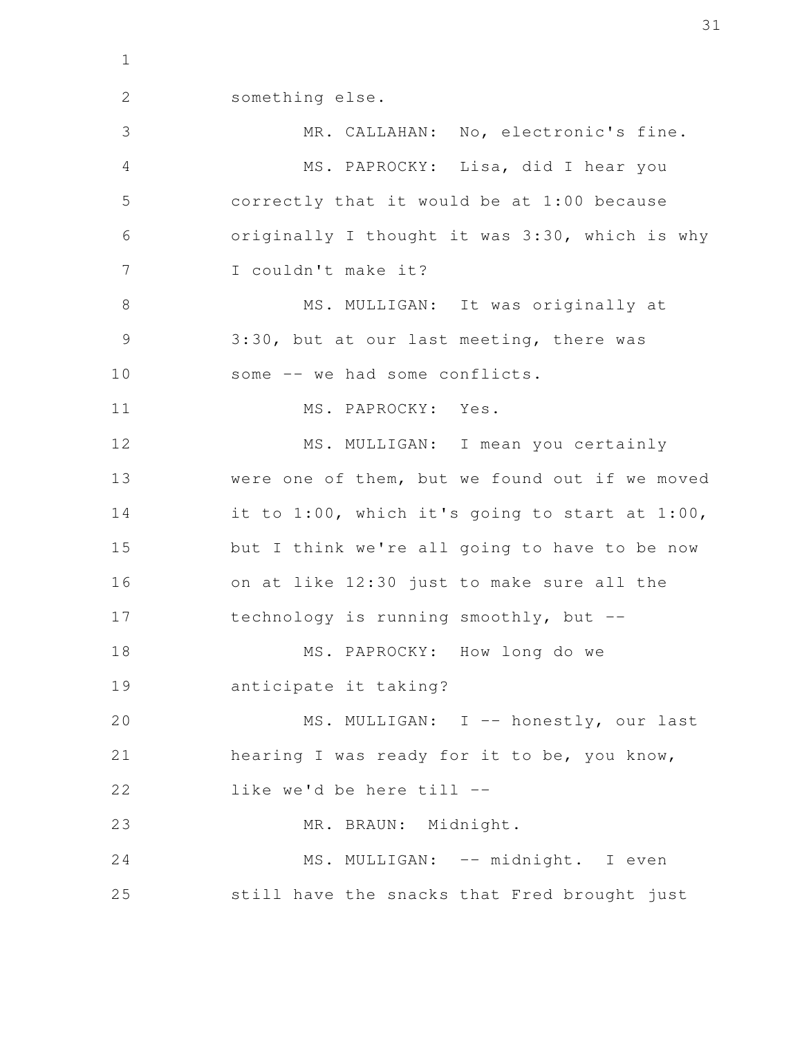something else. MR. CALLAHAN: No, electronic's fine. MS. PAPROCKY: Lisa, did I hear you correctly that it would be at 1:00 because originally I thought it was 3:30, which is why I couldn't make it? MS. MULLIGAN: It was originally at 3:30, but at our last meeting, there was some -- we had some conflicts. MS. PAPROCKY: Yes. MS. MULLIGAN: I mean you certainly were one of them, but we found out if we moved it to 1:00, which it's going to start at 1:00, but I think we're all going to have to be now on at like 12:30 just to make sure all the technology is running smoothly, but -- MS. PAPROCKY: How long do we anticipate it taking? MS. MULLIGAN: I -- honestly, our last hearing I was ready for it to be, you know, like we'd be here till -- MR. BRAUN: Midnight. MS. MULLIGAN: -- midnight. I even still have the snacks that Fred brought just 1 2 3 4 5 6 7 8 9 10 11 12 13 14 15 16 17 18 19 20 21 22 23 24 25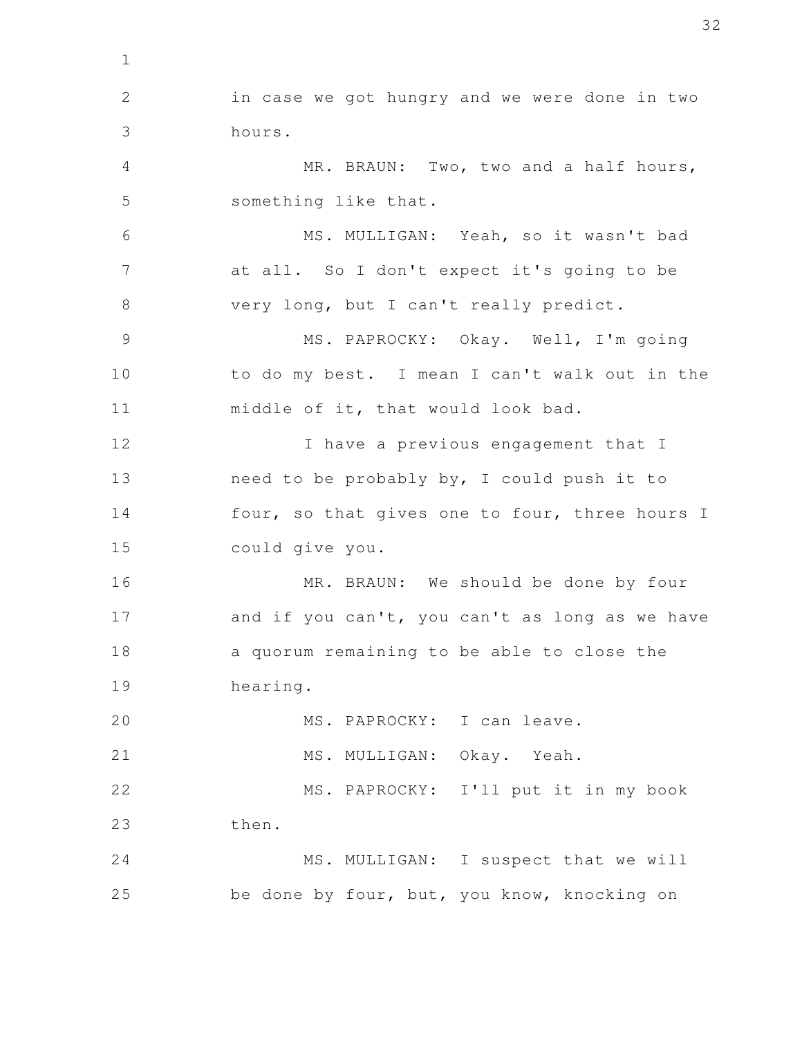in case we got hungry and we were done in two hours. MR. BRAUN: Two, two and a half hours, something like that. MS. MULLIGAN: Yeah, so it wasn't bad at all. So I don't expect it's going to be very long, but I can't really predict. MS. PAPROCKY: Okay. Well, I'm going to do my best. I mean I can't walk out in the middle of it, that would look bad. I have a previous engagement that I need to be probably by, I could push it to four, so that gives one to four, three hours I could give you. MR. BRAUN: We should be done by four and if you can't, you can't as long as we have a quorum remaining to be able to close the hearing. MS. PAPROCKY: I can leave. MS. MULLIGAN: Okay. Yeah. MS. PAPROCKY: I'll put it in my book then. MS. MULLIGAN: I suspect that we will be done by four, but, you know, knocking on 2 3 4 5 6 7 8 9 10 11 12 13 14 15 16 17 18 19 20 21 22 23 24 25

1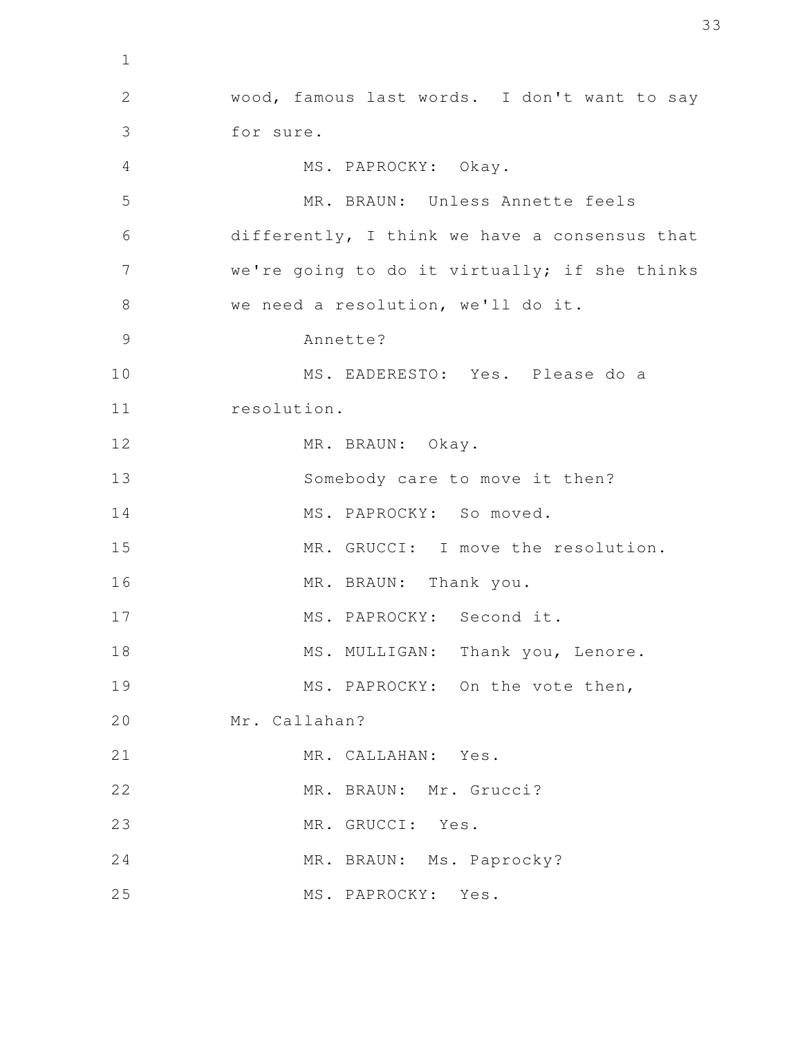wood, famous last words. I don't want to say for sure. MS. PAPROCKY: Okay. MR. BRAUN: Unless Annette feels differently, I think we have a consensus that we're going to do it virtually; if she thinks we need a resolution, we'll do it. Annette? MS. EADERESTO: Yes. Please do a resolution. MR. BRAUN: Okay. Somebody care to move it then? MS. PAPROCKY: So moved. MR. GRUCCI: I move the resolution. MR. BRAUN: Thank you. MS. PAPROCKY: Second it. MS. MULLIGAN: Thank you, Lenore. MS. PAPROCKY: On the vote then, Mr. Callahan? MR. CALLAHAN: Yes. MR. BRAUN: Mr. Grucci? MR. GRUCCI: Yes. MR. BRAUN: Ms. Paprocky? MS. PAPROCKY: Yes. 2 3 4 5 6 7 8 9 10 11 12 13 14 15 16 17 18 19 20 21 22 23 24 25

1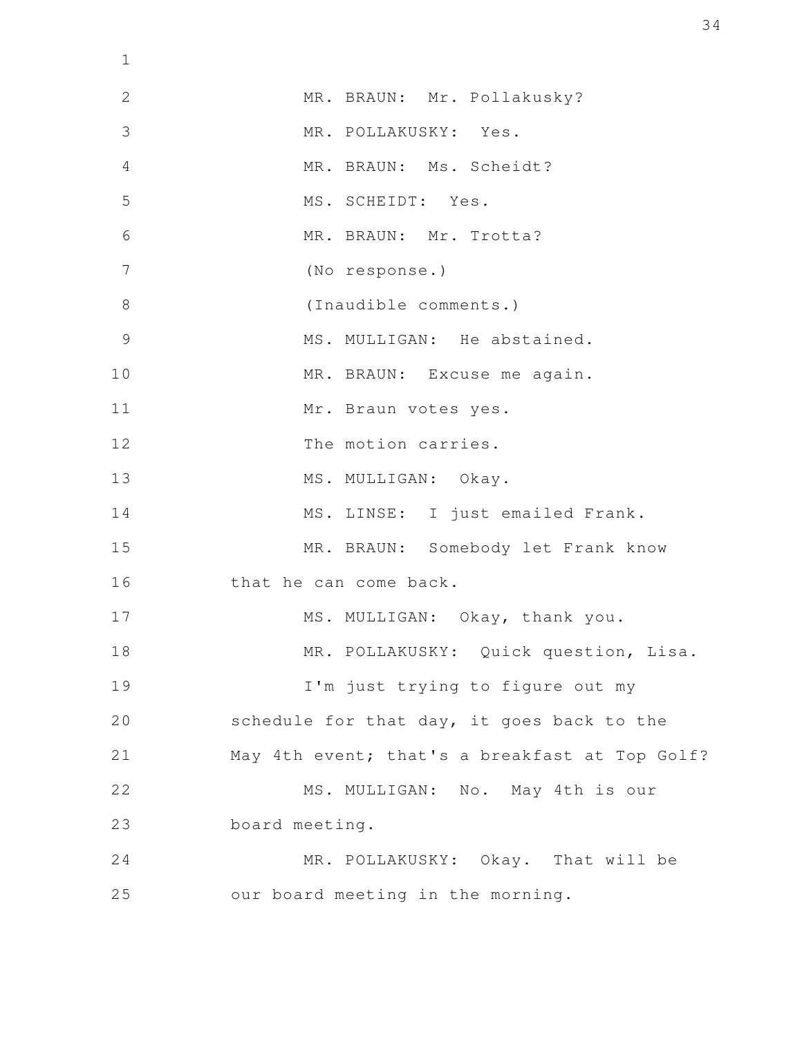| $\mathbf 1$    |                                                |
|----------------|------------------------------------------------|
| 2              | MR. BRAUN: Mr. Pollakusky?                     |
| 3              | MR. POLLAKUSKY: Yes.                           |
| 4              | MR. BRAUN: Ms. Scheidt?                        |
| 5              | MS. SCHEIDT: Yes.                              |
| 6              | MR. BRAUN: Mr. Trotta?                         |
| 7              | (No response.)                                 |
| 8              | (Inaudible comments.)                          |
| $\overline{9}$ | MS. MULLIGAN: He abstained.                    |
| 10             | MR. BRAUN: Excuse me again.                    |
| 11             | Mr. Braun votes yes.                           |
| 12             | The motion carries.                            |
| 13             | MS. MULLIGAN: Okay.                            |
| 14             | MS. LINSE: I just emailed Frank.               |
| 15             | MR. BRAUN: Somebody let Frank know             |
| 16             | that he can come back.                         |
| 17             | MS. MULLIGAN: Okay, thank you.                 |
| 18             | MR. POLLAKUSKY: Quick question, Lisa.          |
| 19             | I'm just trying to figure out my               |
| 20             | schedule for that day, it goes back to the     |
| 21             | May 4th event; that's a breakfast at Top Golf? |
| 22             | MS. MULLIGAN: No. May 4th is our               |
| 23             | board meeting.                                 |
| 24             | MR. POLLAKUSKY: Okay. That will be             |
| 25             | our board meeting in the morning.              |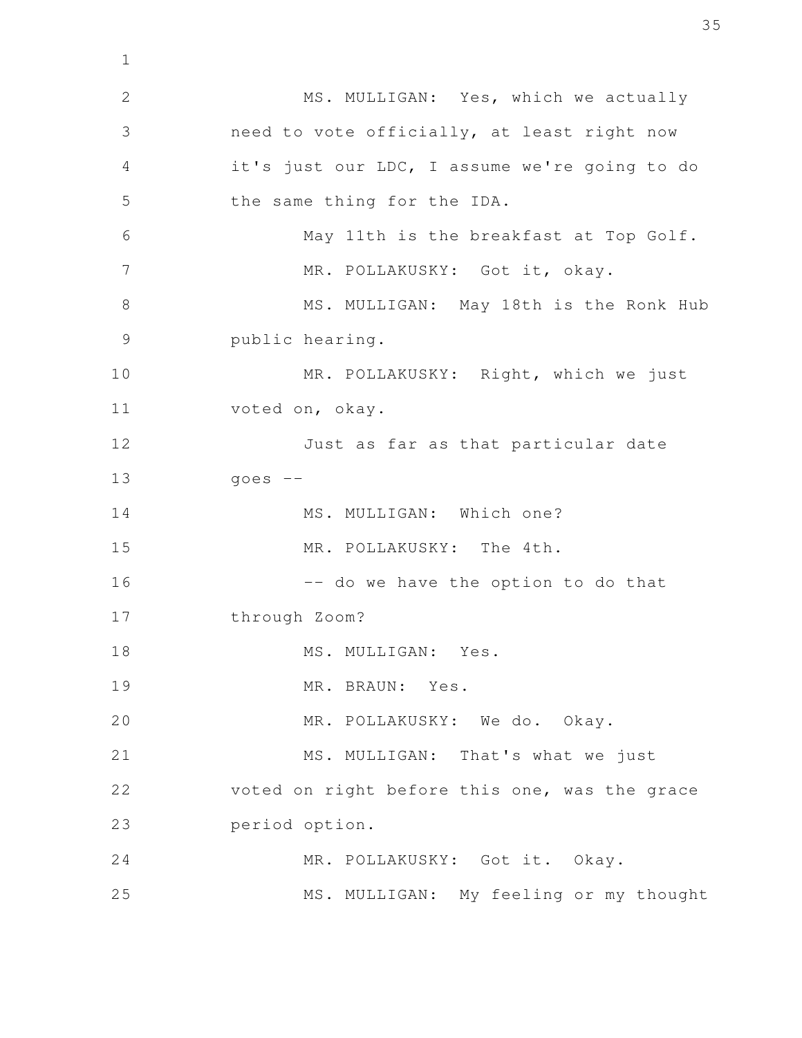MS. MULLIGAN: Yes, which we actually need to vote officially, at least right now it's just our LDC, I assume we're going to do the same thing for the IDA. May 11th is the breakfast at Top Golf. MR. POLLAKUSKY: Got it, okay. MS. MULLIGAN: May 18th is the Ronk Hub public hearing. MR. POLLAKUSKY: Right, which we just voted on, okay. Just as far as that particular date  $qoes$  --MS. MULLIGAN: Which one? MR. POLLAKUSKY: The 4th. -- do we have the option to do that through Zoom? MS. MULLIGAN: Yes. MR. BRAUN: Yes. MR. POLLAKUSKY: We do. Okay. MS. MULLIGAN: That's what we just voted on right before this one, was the grace period option. MR. POLLAKUSKY: Got it. Okay. MS. MULLIGAN: My feeling or my thought 1 2 3 4 5 6 7 8 9 10 11 12 13 14 15 16 17 18 19 20 21 22 23 24 25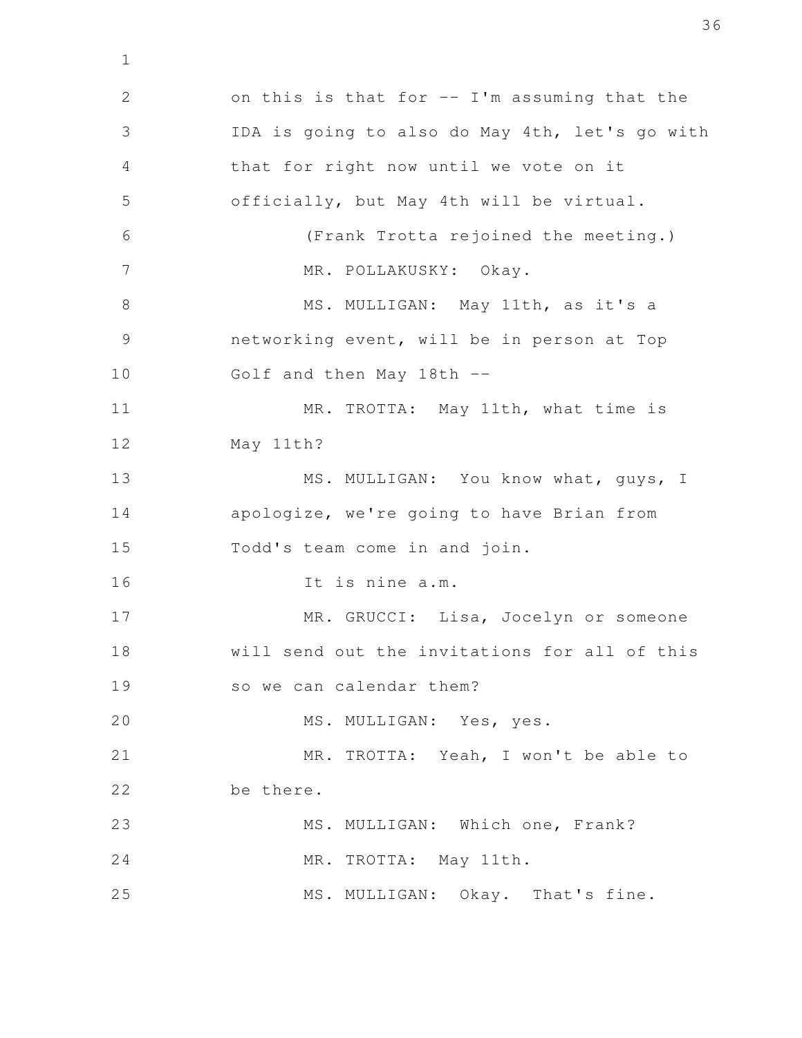on this is that for  $--$  I'm assuming that the IDA is going to also do May 4th, let's go with that for right now until we vote on it officially, but May 4th will be virtual. (Frank Trotta rejoined the meeting.) MR. POLLAKUSKY: Okay. MS. MULLIGAN: May 11th, as it's a networking event, will be in person at Top Golf and then May 18th -- MR. TROTTA: May 11th, what time is May 11th? MS. MULLIGAN: You know what, guys, I apologize, we're going to have Brian from Todd's team come in and join. It is nine a.m. MR. GRUCCI: Lisa, Jocelyn or someone will send out the invitations for all of this so we can calendar them? MS. MULLIGAN: Yes, yes. MR. TROTTA: Yeah, I won't be able to be there. MS. MULLIGAN: Which one, Frank? MR. TROTTA: May 11th. MS. MULLIGAN: Okay. That's fine. 2 3 4 5 6 7 8 9 10 11 12 13 14 15 16 17 18 19 20 21 22 23 24 25

1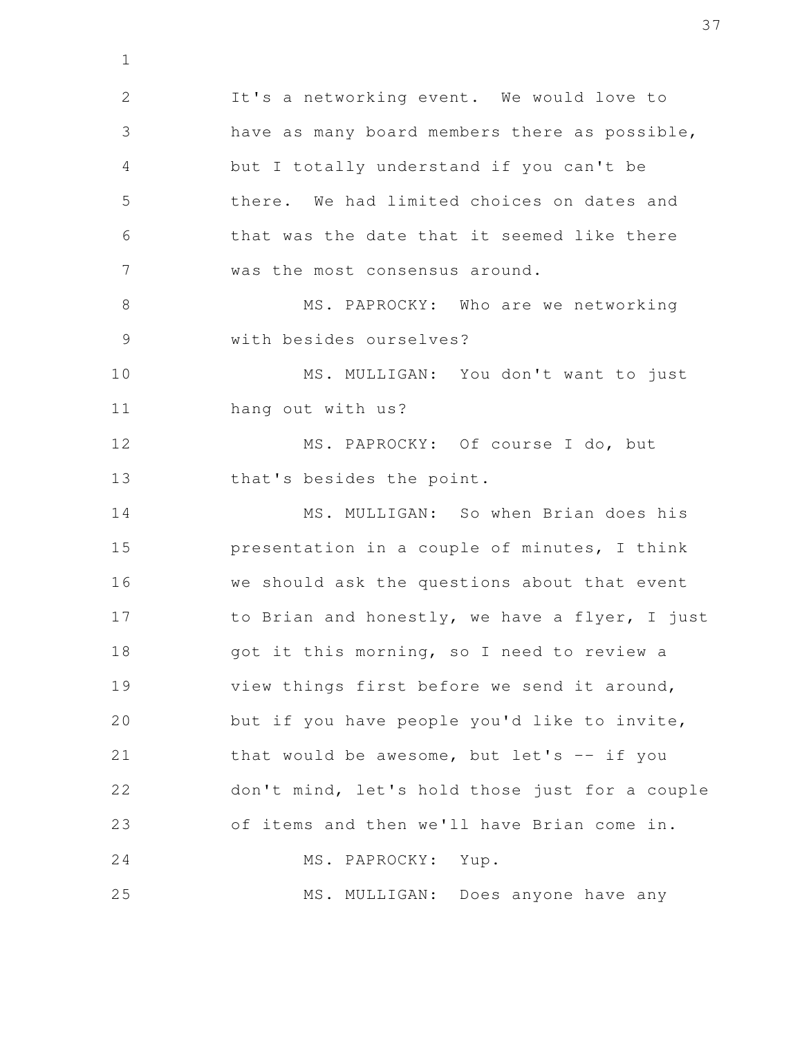It's a networking event. We would love to have as many board members there as possible, but I totally understand if you can't be there. We had limited choices on dates and that was the date that it seemed like there was the most consensus around. MS. PAPROCKY: Who are we networking with besides ourselves? MS. MULLIGAN: You don't want to just hang out with us? MS. PAPROCKY: Of course I do, but that's besides the point. MS. MULLIGAN: So when Brian does his presentation in a couple of minutes, I think we should ask the questions about that event to Brian and honestly, we have a flyer, I just got it this morning, so I need to review a view things first before we send it around, but if you have people you'd like to invite, that would be awesome, but let's  $--$  if you don't mind, let's hold those just for a couple of items and then we'll have Brian come in. MS. PAPROCKY: Yup. MS. MULLIGAN: Does anyone have any 2 3 4 5 6 7 8 9 10 11 12 13 14 15 16 17 18 19 20 21 22 23 24 25

1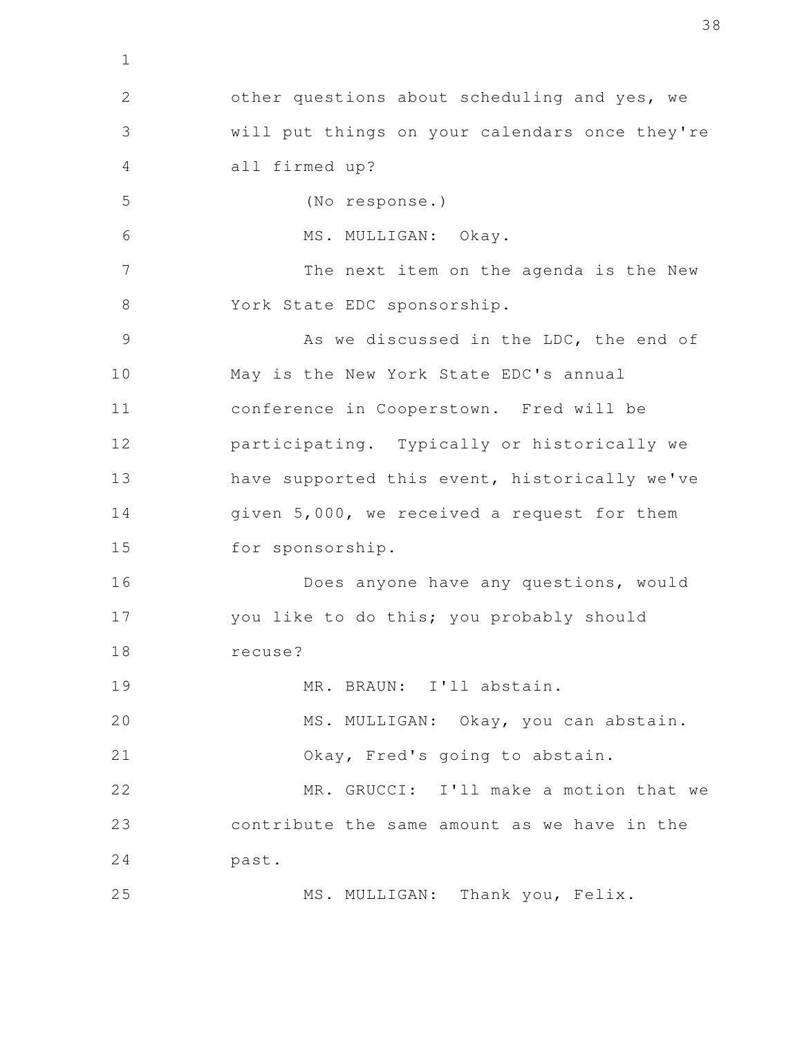other questions about scheduling and yes, we will put things on your calendars once they're all firmed up? (No response.) MS. MULLIGAN: Okay. The next item on the agenda is the New York State EDC sponsorship. As we discussed in the LDC, the end of May is the New York State EDC's annual conference in Cooperstown. Fred will be participating. Typically or historically we have supported this event, historically we've given 5,000, we received a request for them for sponsorship. Does anyone have any questions, would you like to do this; you probably should recuse? MR. BRAUN: I'll abstain. MS. MULLIGAN: Okay, you can abstain. Okay, Fred's going to abstain. MR. GRUCCI: I'll make a motion that we contribute the same amount as we have in the past. MS. MULLIGAN: Thank you, Felix. 2 3 4 5 6 7 8 9 10 11 12 13 14 15 16 17 18 19 20 21 22 23 24 25

1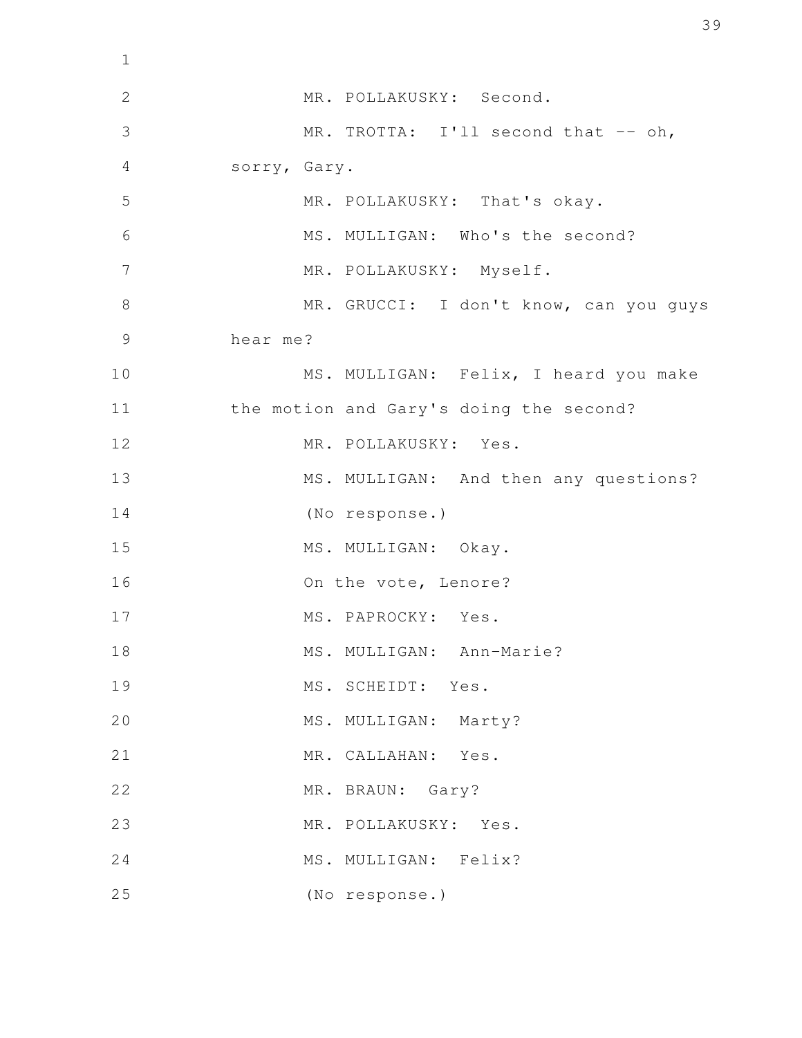| $\mathbf 1$   |                                         |
|---------------|-----------------------------------------|
| $\mathbf{2}$  | MR. POLLAKUSKY: Second.                 |
| 3             | MR. TROTTA: I'll second that -- oh,     |
| 4             | sorry, Gary.                            |
| 5             | MR. POLLAKUSKY: That's okay.            |
| 6             | MS. MULLIGAN: Who's the second?         |
| 7             | MR. POLLAKUSKY: Myself.                 |
| 8             | MR. GRUCCI: I don't know, can you guys  |
| $\mathcal{G}$ | hear me?                                |
| 10            | MS. MULLIGAN: Felix, I heard you make   |
| 11            | the motion and Gary's doing the second? |
| 12            | MR. POLLAKUSKY: Yes.                    |
| 13            | MS. MULLIGAN: And then any questions?   |
| 14            | (No response.)                          |
| 15            | MS. MULLIGAN: Okay.                     |
| 16            | On the vote, Lenore?                    |
| 17            | MS. PAPROCKY: Yes.                      |
| 18            | MS. MULLIGAN: Ann-Marie?                |
| 19            | MS. SCHEIDT:<br>Yes.                    |
| 20            | MS. MULLIGAN: Marty?                    |
| 21            | MR. CALLAHAN: Yes.                      |
| 22            | MR. BRAUN: Gary?                        |
| 23            | MR. POLLAKUSKY: Yes.                    |
| 24            | MS. MULLIGAN: Felix?                    |
| 25            | (No response.)                          |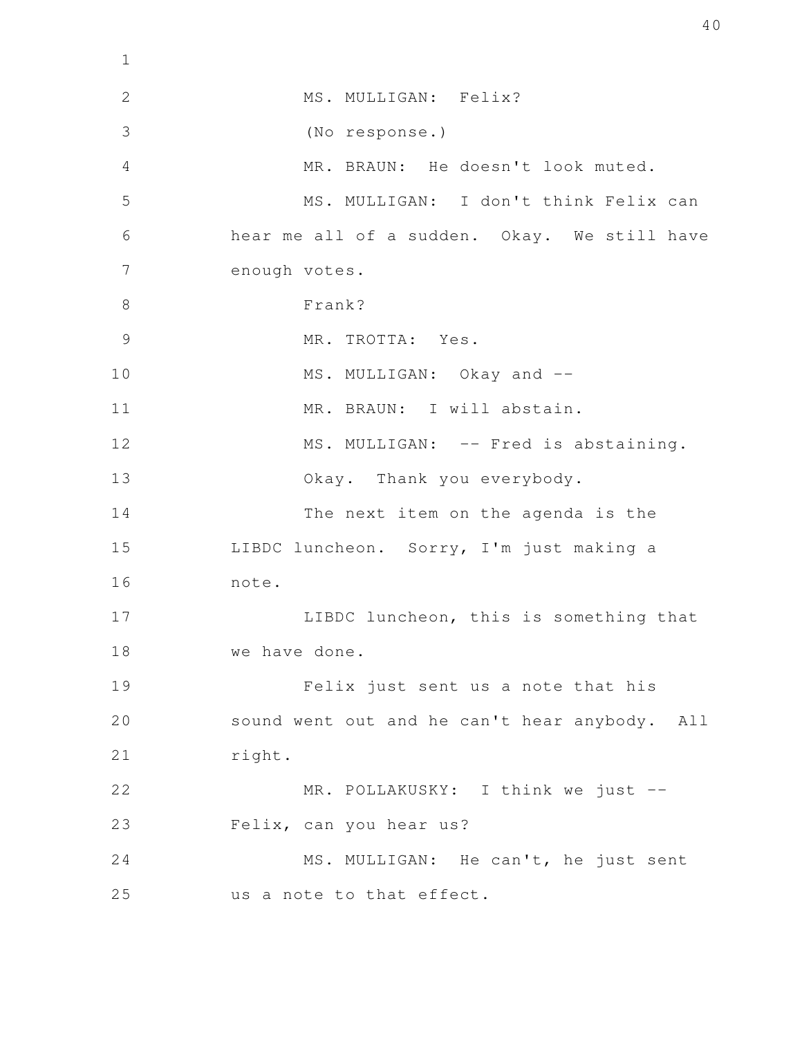| $\mathbf 1$    |                                               |
|----------------|-----------------------------------------------|
| $\mathbf{2}$   | MS. MULLIGAN: Felix?                          |
| 3              | (No response.)                                |
| 4              | MR. BRAUN: He doesn't look muted.             |
| 5              | MS. MULLIGAN: I don't think Felix can         |
| 6              | hear me all of a sudden. Okay. We still have  |
| 7              | enough votes.                                 |
| 8              | Frank?                                        |
| $\overline{9}$ | MR. TROTTA: Yes.                              |
| 10             | MS. MULLIGAN: Okay and --                     |
| 11             | MR. BRAUN: I will abstain.                    |
| 12             | MS. MULLIGAN: -- Fred is abstaining.          |
| 13             | Okay. Thank you everybody.                    |
| 14             | The next item on the agenda is the            |
| 15             | LIBDC luncheon. Sorry, I'm just making a      |
| 16             | note.                                         |
| 17             | LIBDC luncheon, this is something that        |
| 18             | we have done.                                 |
| 19             | Felix just sent us a note that his            |
| 20             | sound went out and he can't hear anybody. All |
| 21             | right.                                        |
| 22             | MR. POLLAKUSKY: I think we just --            |
| 23             | Felix, can you hear us?                       |
| 24             | MS. MULLIGAN: He can't, he just sent          |
| 25             | us a note to that effect.                     |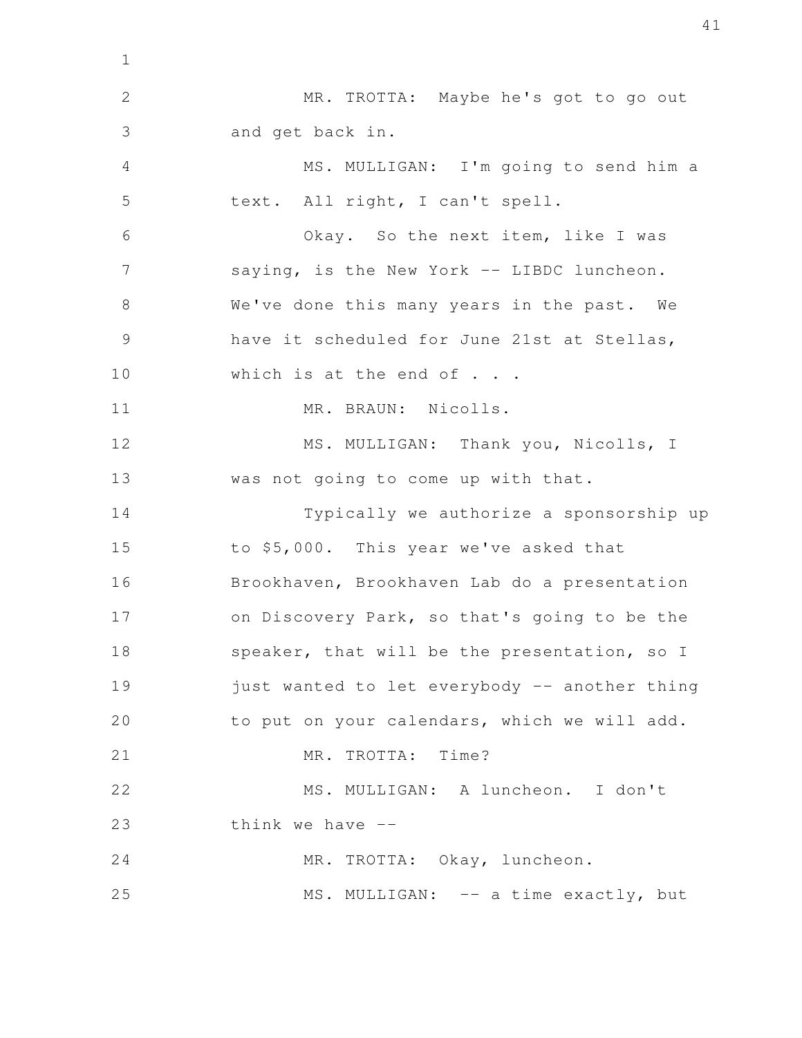MR. TROTTA: Maybe he's got to go out and get back in. MS. MULLIGAN: I'm going to send him a text. All right, I can't spell. Okay. So the next item, like I was saying, is the New York -- LIBDC luncheon. We've done this many years in the past. We have it scheduled for June 21st at Stellas, which is at the end of . . . MR. BRAUN: Nicolls. MS. MULLIGAN: Thank you, Nicolls, I was not going to come up with that. Typically we authorize a sponsorship up to \$5,000. This year we've asked that Brookhaven, Brookhaven Lab do a presentation on Discovery Park, so that's going to be the speaker, that will be the presentation, so I just wanted to let everybody -- another thing to put on your calendars, which we will add. MR. TROTTA: Time? MS. MULLIGAN: A luncheon. I don't think we have  $-$ MR. TROTTA: Okay, luncheon. MS. MULLIGAN: -- a time exactly, but 1 2 3 4 5 6 7 8 9 10 11 12 13 14 15 16 17 18 19 20 21 22 23 24 25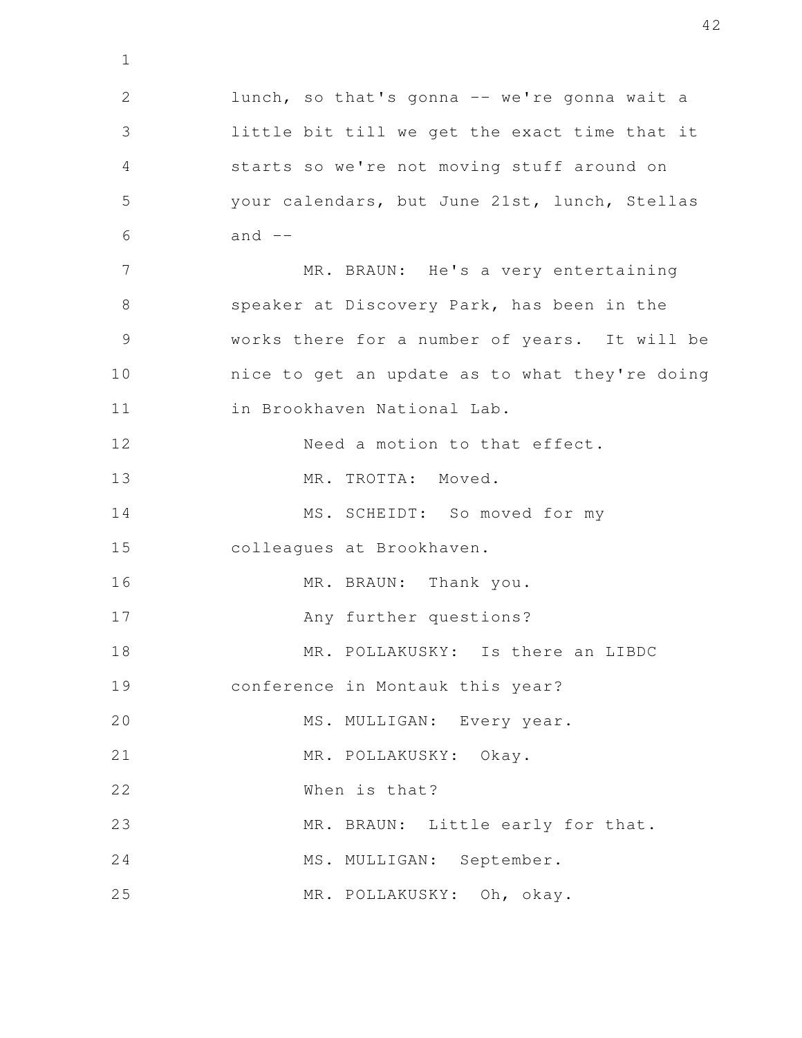lunch, so that's gonna -- we're gonna wait a little bit till we get the exact time that it starts so we're not moving stuff around on your calendars, but June 21st, lunch, Stellas and  $--$ MR. BRAUN: He's a very entertaining speaker at Discovery Park, has been in the works there for a number of years. It will be nice to get an update as to what they're doing in Brookhaven National Lab. Need a motion to that effect. MR. TROTTA: Moved. MS. SCHEIDT: So moved for my colleagues at Brookhaven. MR. BRAUN: Thank you. Any further questions? MR. POLLAKUSKY: Is there an LIBDC conference in Montauk this year? MS. MULLIGAN: Every year. MR. POLLAKUSKY: Okay. When is that? MR. BRAUN: Little early for that. MS. MULLIGAN: September. MR. POLLAKUSKY: Oh, okay. 2 3 4 5 6 7 8 9 10 11 12 13 14 15 16 17 18 19 20 21 22 23 24 25

1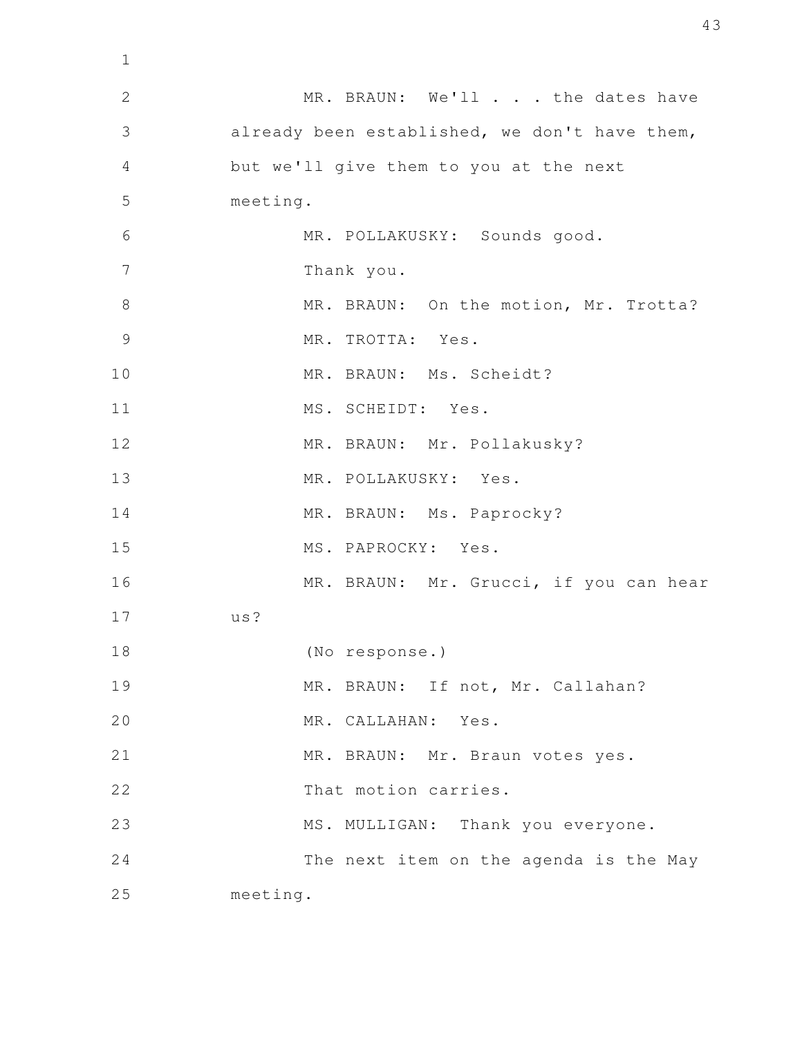MR. BRAUN: We'll . . . the dates have already been established, we don't have them, but we'll give them to you at the next meeting. MR. POLLAKUSKY: Sounds good. Thank you. MR. BRAUN: On the motion, Mr. Trotta? MR. TROTTA: Yes. MR. BRAUN: Ms. Scheidt? MS. SCHEIDT: Yes. MR. BRAUN: Mr. Pollakusky? MR. POLLAKUSKY: Yes. MR. BRAUN: Ms. Paprocky? MS. PAPROCKY: Yes. MR. BRAUN: Mr. Grucci, if you can hear us? (No response.) MR. BRAUN: If not, Mr. Callahan? MR. CALLAHAN: Yes. MR. BRAUN: Mr. Braun votes yes. That motion carries. MS. MULLIGAN: Thank you everyone. The next item on the agenda is the May meeting. 1 2 3 4 5 6 7 8 9 10 11 12 13 14 15 16 17 18 19 20 21 22 23 24 25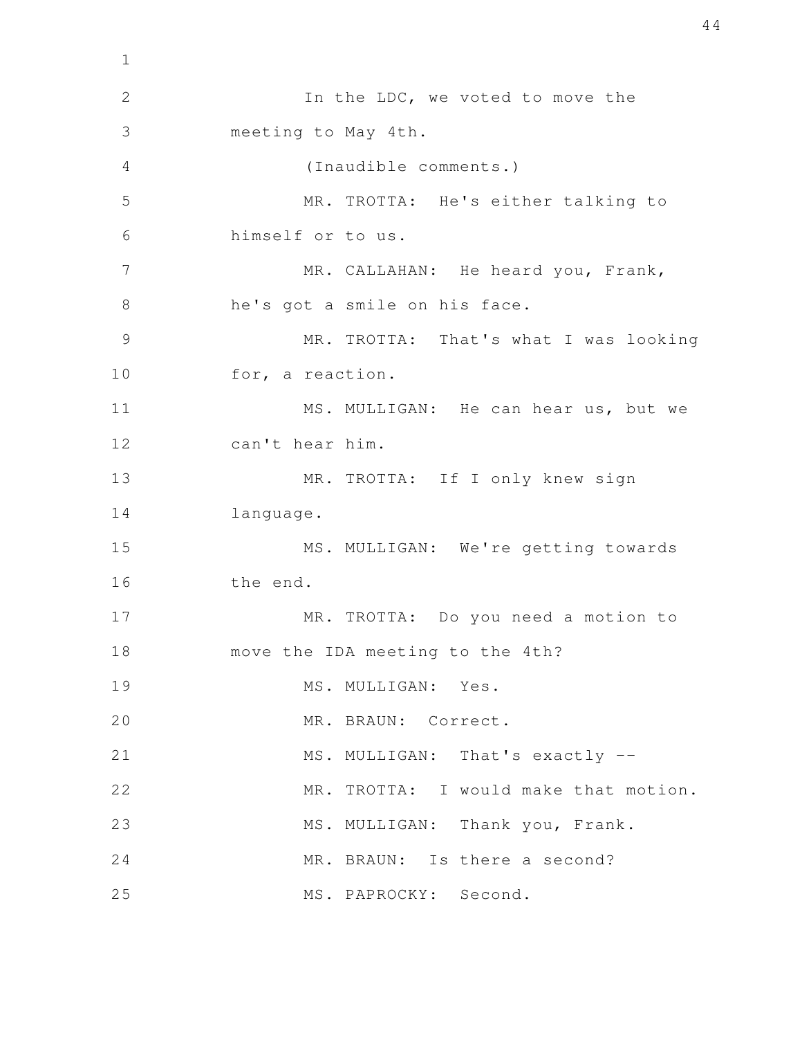In the LDC, we voted to move the meeting to May 4th. (Inaudible comments.) MR. TROTTA: He's either talking to himself or to us. MR. CALLAHAN: He heard you, Frank, he's got a smile on his face. MR. TROTTA: That's what I was looking for, a reaction. MS. MULLIGAN: He can hear us, but we can't hear him. MR. TROTTA: If I only knew sign language. MS. MULLIGAN: We're getting towards the end. MR. TROTTA: Do you need a motion to move the IDA meeting to the 4th? MS. MULLIGAN: Yes. MR. BRAUN: Correct. MS. MULLIGAN: That's exactly --MR. TROTTA: I would make that motion. MS. MULLIGAN: Thank you, Frank. MR. BRAUN: Is there a second? MS. PAPROCKY: Second. 1 2 3 4 5 6 7 8 9 10 11 12 13 14 15 16 17 18 19 20 21 22 23 24 25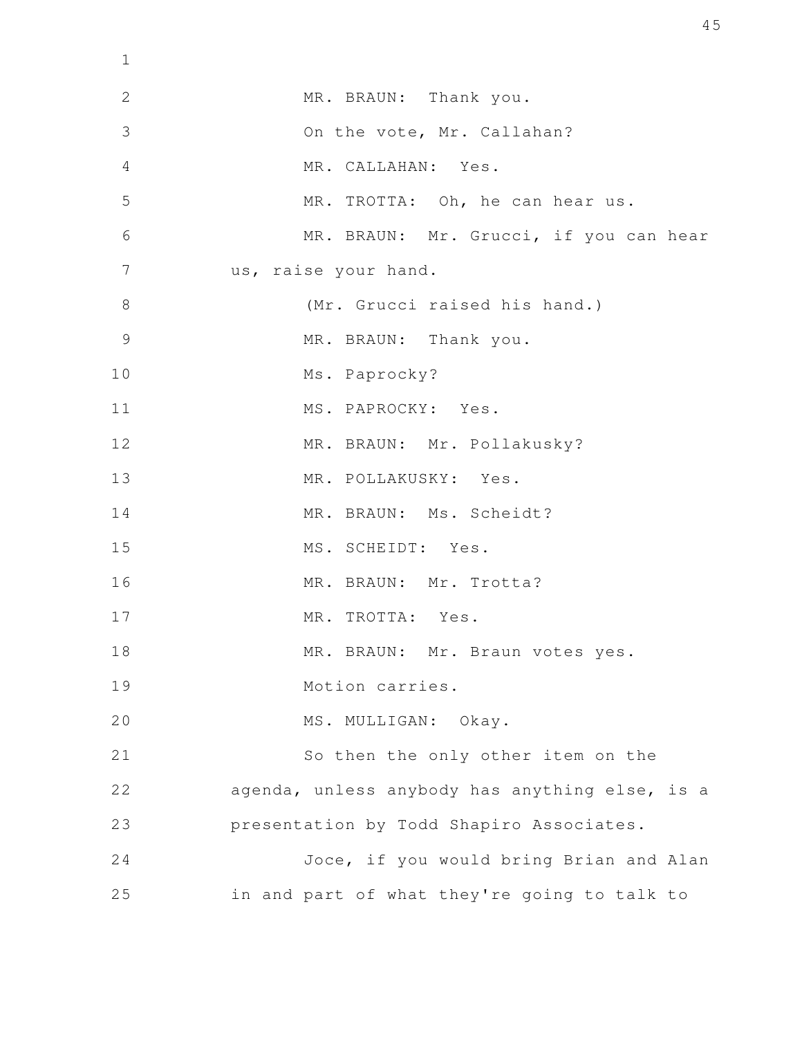| $\mathbf 1$    |                                                |
|----------------|------------------------------------------------|
| $\mathbf{2}$   | MR. BRAUN: Thank you.                          |
| 3              | On the vote, Mr. Callahan?                     |
| 4              | MR. CALLAHAN: Yes.                             |
| 5              | MR. TROTTA: Oh, he can hear us.                |
| 6              | MR. BRAUN: Mr. Grucci, if you can hear         |
| 7              | us, raise your hand.                           |
| 8              | (Mr. Grucci raised his hand.)                  |
| $\overline{9}$ | MR. BRAUN: Thank you.                          |
| 10             | Ms. Paprocky?                                  |
| 11             | MS. PAPROCKY: Yes.                             |
| 12             | MR. BRAUN: Mr. Pollakusky?                     |
| 13             | MR. POLLAKUSKY: Yes.                           |
| 14             | MR. BRAUN: Ms. Scheidt?                        |
| 15             | MS. SCHEIDT: Yes.                              |
| 16             | MR. BRAUN: Mr. Trotta?                         |
| 17             | MR. TROTTA: Yes.                               |
| 18             | MR. BRAUN: Mr. Braun votes yes.                |
| 19             | Motion carries.                                |
| 20             | MS. MULLIGAN: Okay.                            |
| 21             | So then the only other item on the             |
| 22             | agenda, unless anybody has anything else, is a |
| 23             | presentation by Todd Shapiro Associates.       |
| 24             | Joce, if you would bring Brian and Alan        |
| 25             | in and part of what they're going to talk to   |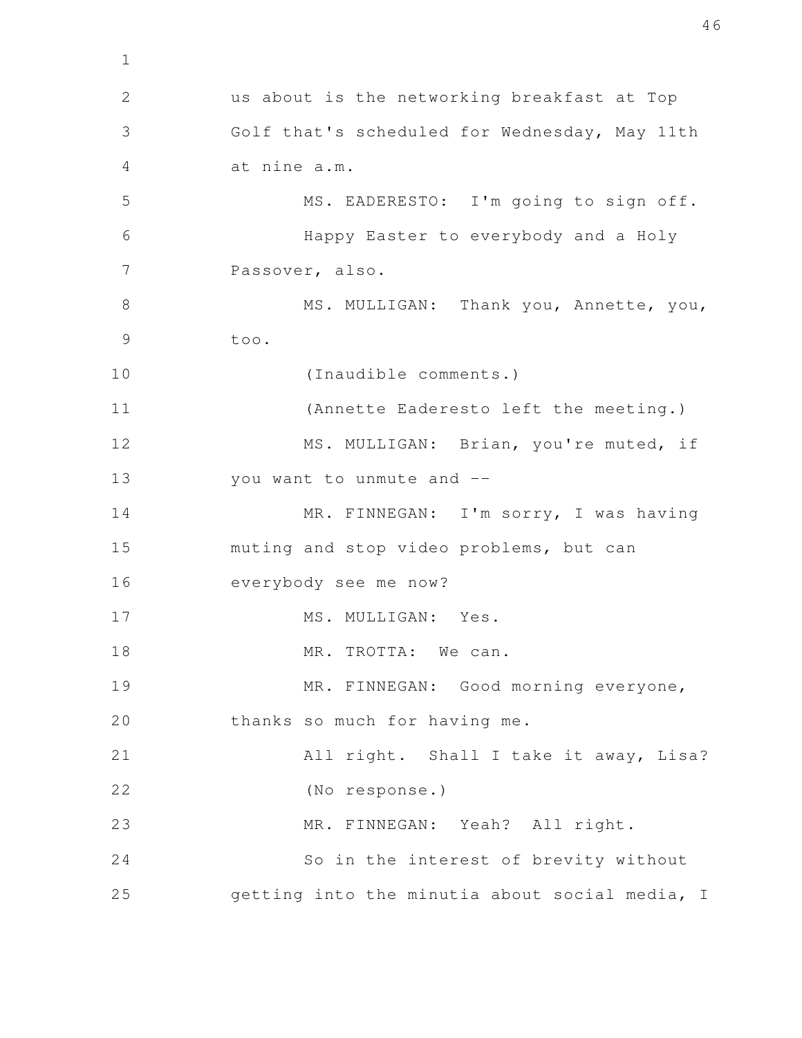us about is the networking breakfast at Top Golf that's scheduled for Wednesday, May 11th at nine a.m. MS. EADERESTO: I'm going to sign off. Happy Easter to everybody and a Holy Passover, also. MS. MULLIGAN: Thank you, Annette, you, too. (Inaudible comments.) (Annette Eaderesto left the meeting.) MS. MULLIGAN: Brian, you're muted, if you want to unmute and -- MR. FINNEGAN: I'm sorry, I was having muting and stop video problems, but can everybody see me now? MS. MULLIGAN: Yes. MR. TROTTA: We can. MR. FINNEGAN: Good morning everyone, thanks so much for having me. All right. Shall I take it away, Lisa? (No response.) MR. FINNEGAN: Yeah? All right. So in the interest of brevity without getting into the minutia about social media, I 2 3 4 5 6 7 8 9 10 11 12 13 14 15 16 17 18 19 20 21 22 23 24 25

1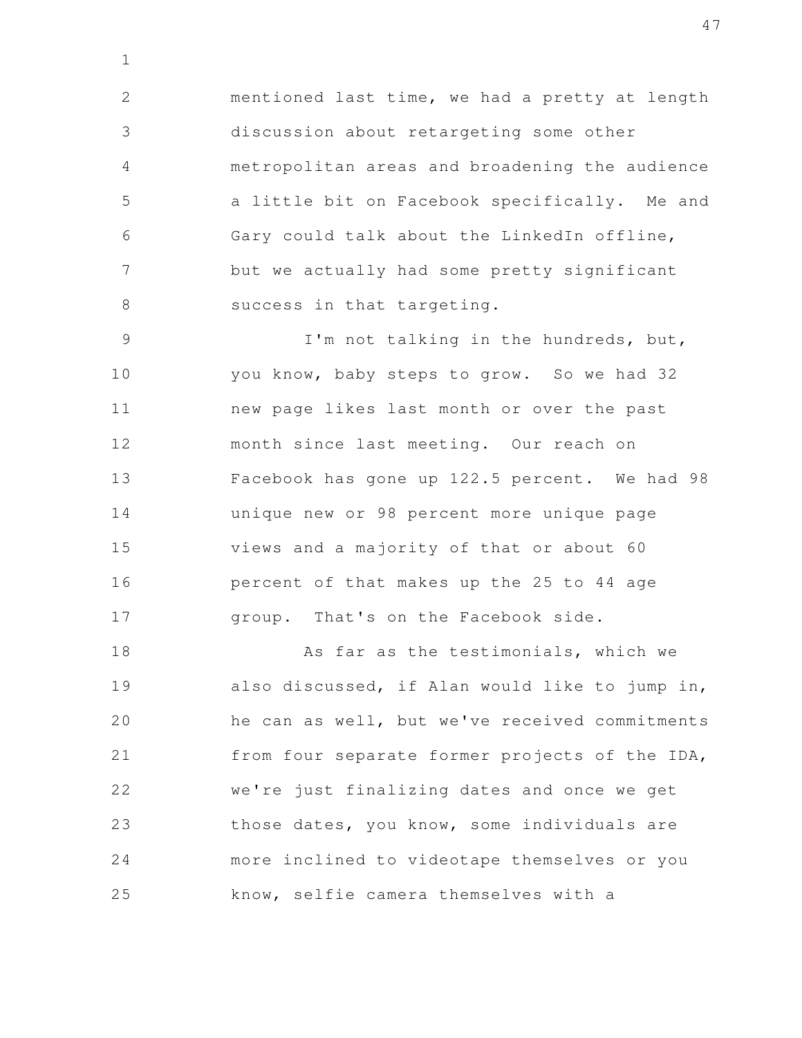mentioned last time, we had a pretty at length discussion about retargeting some other metropolitan areas and broadening the audience a little bit on Facebook specifically. Me and Gary could talk about the LinkedIn offline, but we actually had some pretty significant success in that targeting. 2 3 4 5 6 7 8

1

I'm not talking in the hundreds, but, you know, baby steps to grow. So we had 32 new page likes last month or over the past month since last meeting. Our reach on Facebook has gone up 122.5 percent. We had 98 unique new or 98 percent more unique page views and a majority of that or about 60 percent of that makes up the 25 to 44 age group. That's on the Facebook side. 9 10 11 12 13 14 15 16 17

As far as the testimonials, which we also discussed, if Alan would like to jump in, he can as well, but we've received commitments from four separate former projects of the IDA, we're just finalizing dates and once we get those dates, you know, some individuals are more inclined to videotape themselves or you know, selfie camera themselves with a 18 19 20 21 22 23 24 25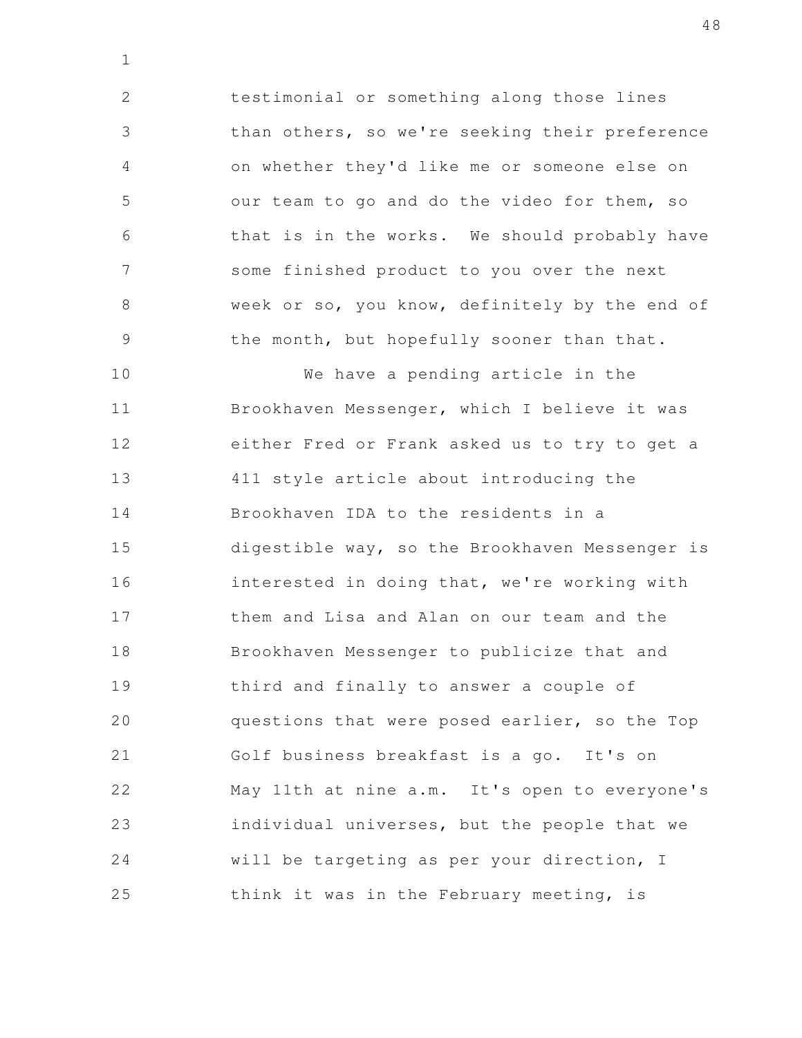testimonial or something along those lines than others, so we're seeking their preference on whether they'd like me or someone else on our team to go and do the video for them, so that is in the works. We should probably have some finished product to you over the next week or so, you know, definitely by the end of the month, but hopefully sooner than that. 2 3 4 5 6 7 8 9

1

We have a pending article in the Brookhaven Messenger, which I believe it was either Fred or Frank asked us to try to get a 411 style article about introducing the Brookhaven IDA to the residents in a digestible way, so the Brookhaven Messenger is interested in doing that, we're working with them and Lisa and Alan on our team and the Brookhaven Messenger to publicize that and third and finally to answer a couple of questions that were posed earlier, so the Top Golf business breakfast is a go. It's on May 11th at nine a.m. It's open to everyone's individual universes, but the people that we will be targeting as per your direction, I think it was in the February meeting, is 10 11 12 13 14 15 16 17 18 19 20 21 22 23 24 25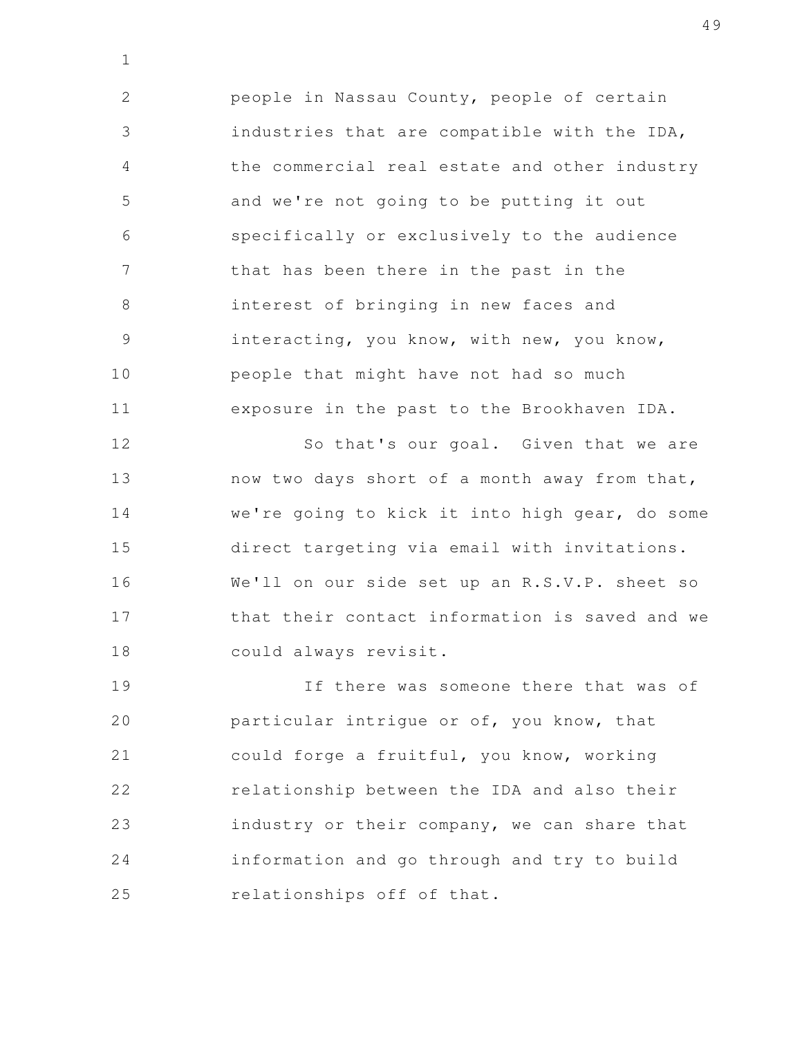people in Nassau County, people of certain industries that are compatible with the IDA, the commercial real estate and other industry and we're not going to be putting it out specifically or exclusively to the audience that has been there in the past in the interest of bringing in new faces and interacting, you know, with new, you know, people that might have not had so much exposure in the past to the Brookhaven IDA. 2 3 4 5 6 7 8 9 10 11

1

So that's our goal. Given that we are now two days short of a month away from that, we're going to kick it into high gear, do some direct targeting via email with invitations. We'll on our side set up an R.S.V.P. sheet so that their contact information is saved and we could always revisit. 12 13 14 15 16 17 18

If there was someone there that was of particular intrigue or of, you know, that could forge a fruitful, you know, working relationship between the IDA and also their industry or their company, we can share that information and go through and try to build relationships off of that. 19 20 21 22 23 24 25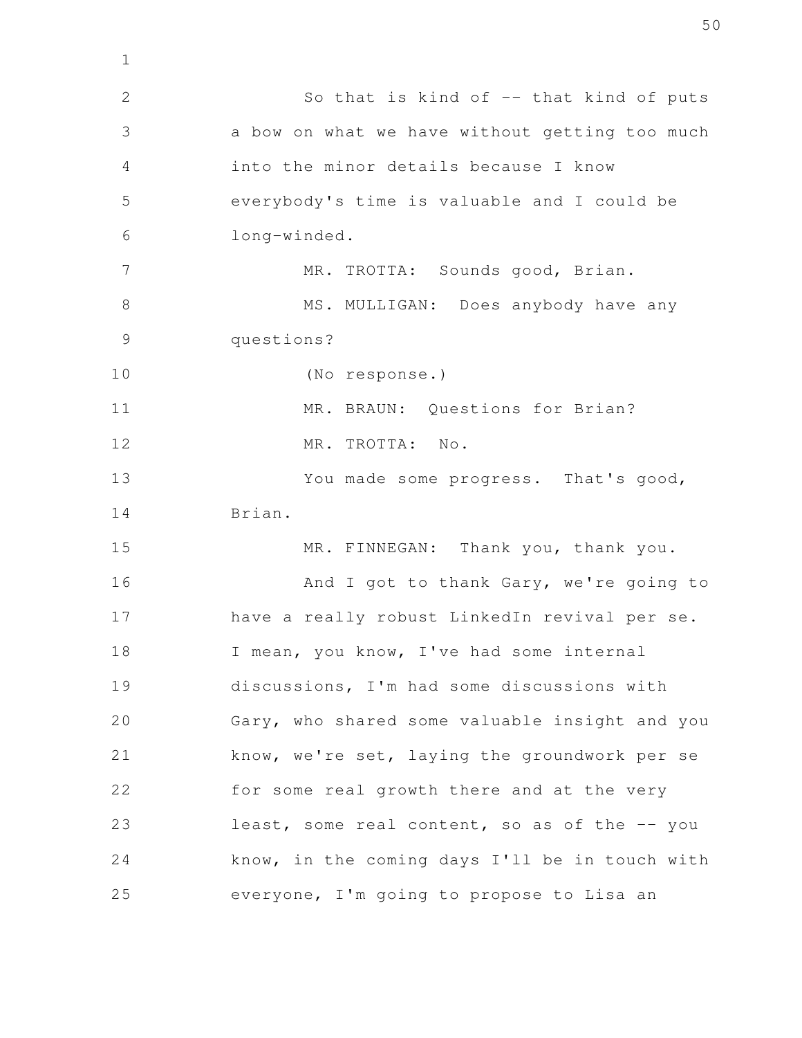So that is kind of  $-$  that kind of puts a bow on what we have without getting too much into the minor details because I know everybody's time is valuable and I could be long-winded. MR. TROTTA: Sounds good, Brian. MS. MULLIGAN: Does anybody have any questions? (No response.) MR. BRAUN: Questions for Brian? MR. TROTTA: No. You made some progress. That's good, Brian. MR. FINNEGAN: Thank you, thank you. And I got to thank Gary, we're going to have a really robust LinkedIn revival per se. I mean, you know, I've had some internal discussions, I'm had some discussions with Gary, who shared some valuable insight and you know, we're set, laying the groundwork per se for some real growth there and at the very least, some real content, so as of the -- you know, in the coming days I'll be in touch with everyone, I'm going to propose to Lisa an 2 3 4 5 6 7 8 9 10 11 12 13 14 15 16 17 18 19 20 21 22 23 24 25

1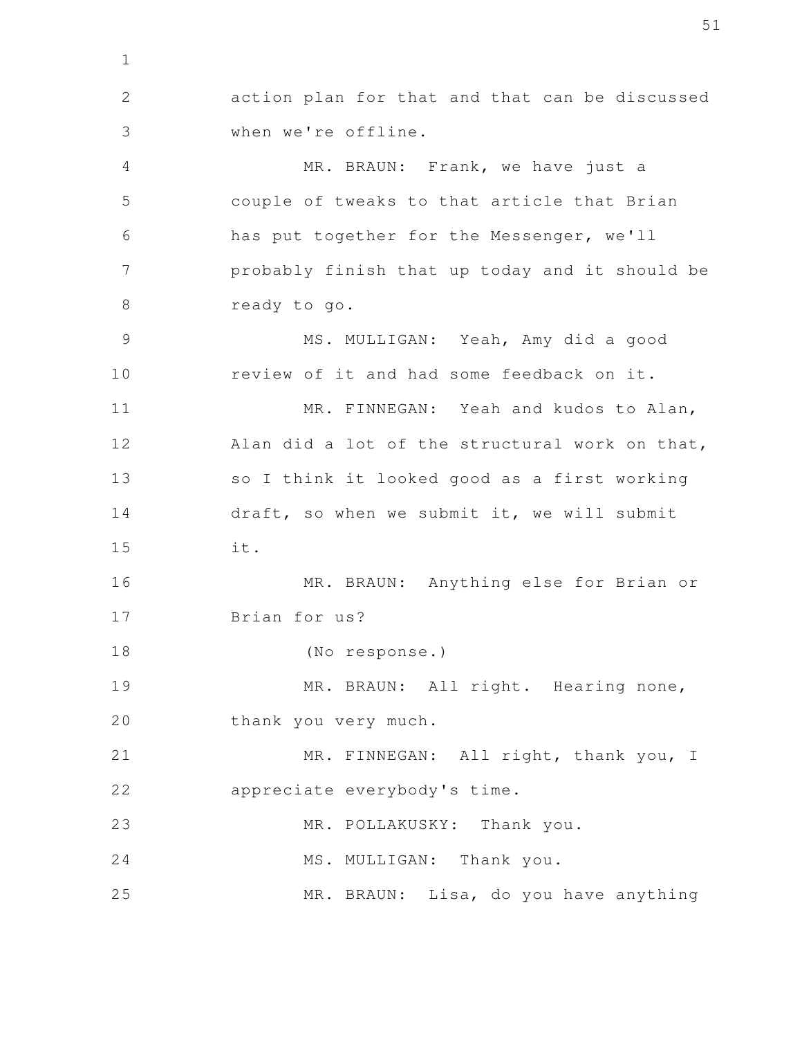action plan for that and that can be discussed when we're offline. MR. BRAUN: Frank, we have just a couple of tweaks to that article that Brian has put together for the Messenger, we'll probably finish that up today and it should be ready to go. MS. MULLIGAN: Yeah, Amy did a good review of it and had some feedback on it. MR. FINNEGAN: Yeah and kudos to Alan, Alan did a lot of the structural work on that, so I think it looked good as a first working draft, so when we submit it, we will submit it. MR. BRAUN: Anything else for Brian or Brian for us? (No response.) MR. BRAUN: All right. Hearing none, thank you very much. MR. FINNEGAN: All right, thank you, I appreciate everybody's time. MR. POLLAKUSKY: Thank you. MS. MULLIGAN: Thank you. MR. BRAUN: Lisa, do you have anything 1 2 3 4 5 6 7 8 9 10 11 12 13 14 15 16 17 18 19 20 21 22 23 24 25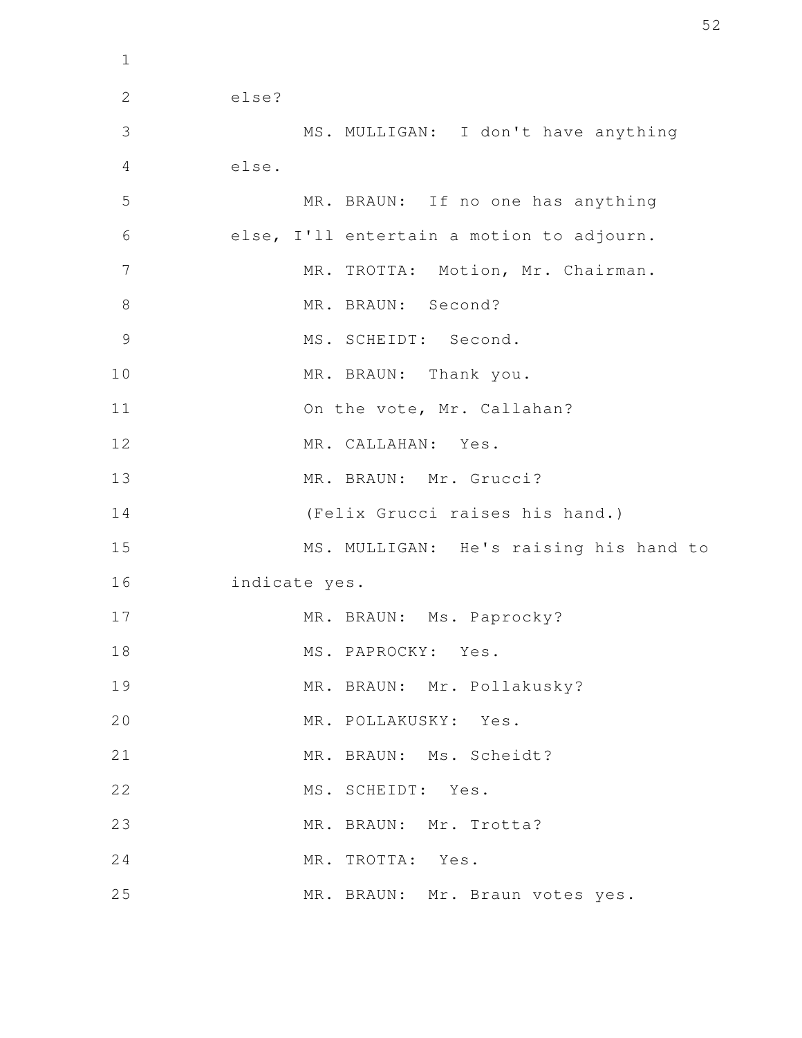else? MS. MULLIGAN: I don't have anything else. MR. BRAUN: If no one has anything else, I'll entertain a motion to adjourn. MR. TROTTA: Motion, Mr. Chairman. MR. BRAUN: Second? MS. SCHEIDT: Second. MR. BRAUN: Thank you. On the vote, Mr. Callahan? MR. CALLAHAN: Yes. MR. BRAUN: Mr. Grucci? (Felix Grucci raises his hand.) MS. MULLIGAN: He's raising his hand to indicate yes. MR. BRAUN: Ms. Paprocky? MS. PAPROCKY: Yes. MR. BRAUN: Mr. Pollakusky? MR. POLLAKUSKY: Yes. MR. BRAUN: Ms. Scheidt? MS. SCHEIDT: Yes. MR. BRAUN: Mr. Trotta? MR. TROTTA: Yes. MR. BRAUN: Mr. Braun votes yes. 2 3 4 5 6 7 8 9 10 11 12 13 14 15 16 17 18 19 20 21 22 23 24 25

1